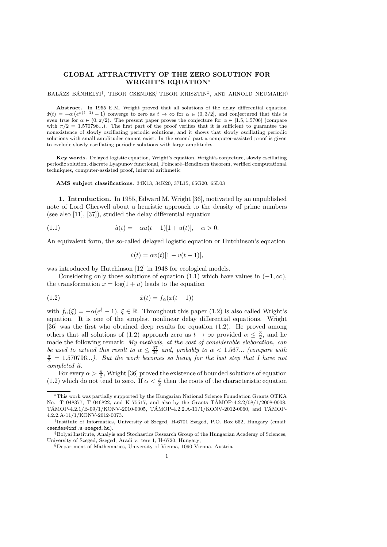## GLOBAL ATTRACTIVITY OF THE ZERO SOLUTION FOR WRIGHT'S EQUATION<sup>∗</sup>

BALÁZS BÁNHELYI<sup>†</sup>, TIBOR CSENDES<sup>†</sup>, TIBOR KRISZTIN<sup>‡</sup>, AND ARNOLD NEUMAIER<sup>§</sup>

Abstract. In 1955 E.M. Wright proved that all solutions of the delay differential equation  $\dot{x}(t) = -\alpha \left(e^{x(t-1)} - 1\right)$  converge to zero as  $t \to \infty$  for  $\alpha \in (0, 3/2]$ , and conjectured that this is even true for  $\alpha \in (0, \pi/2)$ . The present paper proves the conjecture for  $\alpha \in [1.5, 1.5706]$  (compare with  $\pi/2 = 1.570796...$ . The first part of the proof verifies that it is sufficient to guarantee the nonexistence of slowly oscillating periodic solutions, and it shows that slowly oscillating periodic solutions with small amplitudes cannot exist. In the second part a computer-assisted proof is given to exclude slowly oscillating periodic solutions with large amplitudes.

Key words. Delayed logistic equation, Wright's equation, Wright's conjecture, slowly oscillating periodic solution, discrete Lyapunov functional, Poincaré–Bendixson theorem, verified computational techniques, computer-assisted proof, interval arithmetic

AMS subject classifications. 34K13, 34K20, 37L15, 65G20, 65L03

1. Introduction. In 1955, Edward M. Wright [36], motivated by an unpublished note of Lord Cherwell about a heuristic approach to the density of prime numbers (see also [11], [37]), studied the delay differential equation

(1.1) 
$$
\dot{u}(t) = -\alpha u(t-1)[1+u(t)], \quad \alpha > 0.
$$

An equivalent form, the so-called delayed logistic equation or Hutchinson's equation

$$
\dot{v}(t) = \alpha v(t)[1 - v(t-1)],
$$

was introduced by Hutchinson [12] in 1948 for ecological models.

Considering only those solutions of equation (1.1) which have values in  $(-1, \infty)$ , the transformation  $x = \log(1 + u)$  leads to the equation

$$
(1.2) \qquad \qquad \dot{x}(t) = f_{\alpha}(x(t-1))
$$

with  $f_{\alpha}(\xi) = -\alpha(e^{\xi} - 1), \xi \in \mathbb{R}$ . Throughout this paper (1.2) is also called Wright's equation. It is one of the simplest nonlinear delay differential equations. Wright [36] was the first who obtained deep results for equation (1.2). He proved among others that all solutions of (1.2) approach zero as  $t \to \infty$  provided  $\alpha \leq \frac{3}{2}$ , and he made the following remark: My methods, at the cost of considerable elaboration, can be used to extend this result to  $\alpha \leq \frac{37}{24}$  and, probably to  $\alpha < 1.567...$  (compare with  $\frac{\pi}{2}$  = 1.570796...). But the work becomes so heavy for the last step that I have not completed it.

For every  $\alpha > \frac{\pi}{2}$ , Wright [36] proved the existence of bounded solutions of equation (1.2) which do not tend to zero. If  $\alpha < \frac{\pi}{2}$  then the roots of the characteristic equation

<sup>∗</sup>This work was partially supported by the Hungarian National Science Foundation Grants OTKA No. T 048377, T 046822, and K 75517, and also by the Grants TAMOP-4.2.2/08/1/2008-0008,  $TAMOP-4.2.1/B-09/1/KONV-2010-0005$ ,  $TAMOP-4.2.2.A-11/1/KONV-2012-0060$ , and  $TAMOP-$ 4.2.2.A-11/1/KONV-2012-0073.

<sup>†</sup> Institute of Informatics, University of Szeged, H-6701 Szeged, P.O. Box 652, Hungary (email: csendes@inf.u-szeged.hu).

<sup>‡</sup>Bolyai Institute, Analyis and Stochastics Research Group of the Hungarian Academy of Sciences, University of Szeged, Szeged, Aradi v. tere 1, H-6720, Hungary,

<sup>§</sup>Department of Mathematics, University of Vienna, 1090 Vienna, Austria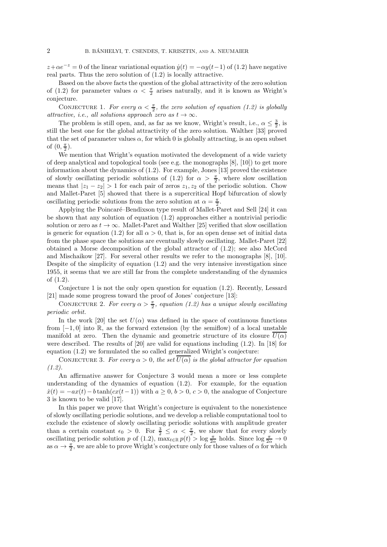$z+\alpha e^{-z} = 0$  of the linear variational equation  $\dot{y}(t) = -\alpha y(t-1)$  of (1.2) have negative real parts. Thus the zero solution of (1.2) is locally attractive.

Based on the above facts the question of the global attractivity of the zero solution of (1.2) for parameter values  $\alpha < \frac{\pi}{2}$  arises naturally, and it is known as Wright's conjecture.

CONJECTURE 1. For every  $\alpha < \frac{\pi}{2}$ , the zero solution of equation (1.2) is globally attractive, i.e., all solutions approach zero as  $t \to \infty$ .

The problem is still open, and, as far as we know, Wright's result, i.e.,  $\alpha \leq \frac{3}{2}$ , is still the best one for the global attractivity of the zero solution. Walther [33] proved that the set of parameter values  $\alpha$ , for which 0 is globally attracting, is an open subset of  $(0, \frac{\pi}{2})$ .

We mention that Wright's equation motivated the development of a wide variety of deep analytical and topological tools (see e.g. the monographs  $[8]$ ,  $[10]$ ) to get more information about the dynamics of (1.2). For example, Jones [13] proved the existence of slowly oscillating periodic solutions of (1.2) for  $\alpha > \frac{\pi}{2}$ , where slow oscillation means that  $|z_1 - z_2| > 1$  for each pair of zeros  $z_1, z_2$  of the periodic solution. Chow and Mallet-Paret [5] showed that there is a supercritical Hopf bifurcation of slowly oscillating periodic solutions from the zero solution at  $\alpha = \frac{\pi}{2}$ .

Applying the Poincaré–Bendixson type result of Mallet-Paret and Sell [24] it can be shown that any solution of equation (1.2) approaches either a nontrivial periodic solution or zero as  $t \to \infty$ . Mallet-Paret and Walther [25] verified that slow oscillation is generic for equation (1.2) for all  $\alpha > 0$ , that is, for an open dense set of initial data from the phase space the solutions are eventually slowly oscillating. Mallet-Paret [22] obtained a Morse decomposition of the global attractor of (1.2); see also McCord and Mischaikow [27]. For several other results we refer to the monographs [8], [10]. Despite of the simplicity of equation  $(1.2)$  and the very intensive investigation since 1955, it seems that we are still far from the complete understanding of the dynamics of (1.2).

Conjecture 1 is not the only open question for equation (1.2). Recently, Lessard [21] made some progress toward the proof of Jones' conjecture [13]:

CONJECTURE 2. For every  $\alpha > \frac{\pi}{2}$ , equation (1.2) has a unique slowly oscillating periodic orbit.

In the work [20] the set  $U(\alpha)$  was defined in the space of continuous functions from  $[-1, 0]$  into R, as the forward extension (by the semiflow) of a local unstable manifold at zero. Then the dynamic and geometric structure of its closure  $U(\alpha)$ were described. The results of [20] are valid for equations including (1.2). In [18] for equation (1.2) we formulated the so called generalized Wright's conjecture:

CONJECTURE 3. For every  $\alpha > 0$ , the set  $\overline{U(\alpha)}$  is the global attractor for equation  $(1.2).$ 

An affirmative answer for Conjecture 3 would mean a more or less complete understanding of the dynamics of equation (1.2). For example, for the equation  $\dot{x}(t) = -ax(t) - b \tanh(cx(t-1))$  with  $a \geq 0, b > 0, c > 0$ , the analogue of Conjecture 3 is known to be valid [17].

In this paper we prove that Wright's conjecture is equivalent to the nonexistence of slowly oscillating periodic solutions, and we develop a reliable computational tool to exclude the existence of slowly oscillating periodic solutions with amplitude greater than a certain constant  $\epsilon_0 > 0$ . For  $\frac{3}{2} \leq \alpha < \frac{\pi}{2}$ , we show that for every slowly oscillating periodic solution p of (1.2),  $\max_{t \in \mathbb{R}} p(t) > \log \frac{\pi}{2\alpha}$  holds. Since  $\log \frac{\pi}{2\alpha} \to 0$ as  $\alpha \to \frac{\pi}{2}$ , we are able to prove Wright's conjecture only for those values of  $\alpha$  for which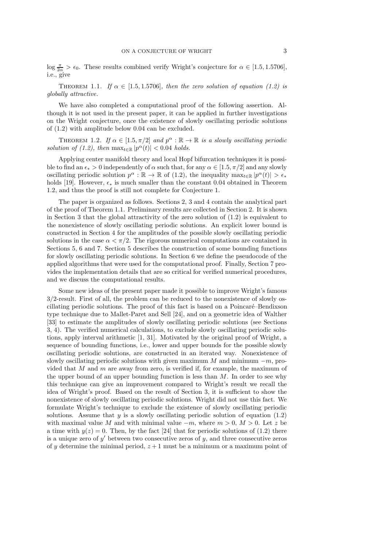$\log \frac{\pi}{2\alpha} > \epsilon_0$ . These results combined verify Wright's conjecture for  $\alpha \in [1.5, 1.5706]$ , i.e., give

THEOREM 1.1. If  $\alpha \in [1.5, 1.5706]$ , then the zero solution of equation (1.2) is globally attractive.

We have also completed a computational proof of the following assertion. Although it is not used in the present paper, it can be applied in further investigations on the Wright conjecture, once the existence of slowly oscillating periodic solutions of (1.2) with amplitude below 0.04 can be excluded.

THEOREM 1.2. If  $\alpha \in [1.5, \pi/2]$  and  $p^{\alpha} : \mathbb{R} \to \mathbb{R}$  is a slowly oscillating periodic solution of (1.2), then  $\max_{t \in \mathbb{R}} |p^{\alpha}(t)| < 0.04$  holds.

Applying center manifold theory and local Hopf bifurcation techniques it is possible to find an  $\epsilon_* > 0$  independently of  $\alpha$  such that, for any  $\alpha \in [1.5, \pi/2]$  and any slowly oscillating periodic solution  $p^{\alpha}: \mathbb{R} \to \mathbb{R}$  of (1.2), the inequality  $\max_{t \in \mathbb{R}} |p^{\alpha}(t)| > \epsilon_*$ holds [19]. However,  $\epsilon_*$  is much smaller than the constant 0.04 obtained in Theorem 1.2, and thus the proof is still not complete for Conjecture 1.

The paper is organized as follows. Sections 2, 3 and 4 contain the analytical part of the proof of Theorem 1.1. Preliminary results are collected in Section 2. It is shown in Section 3 that the global attractivity of the zero solution of  $(1.2)$  is equivalent to the nonexistence of slowly oscillating periodic solutions. An explicit lower bound is constructed in Section 4 for the amplitudes of the possible slowly oscillating periodic solutions in the case  $\alpha < \pi/2$ . The rigorous numerical computations are contained in Sections 5, 6 and 7. Section 5 describes the construction of some bounding functions for slowly oscillating periodic solutions. In Section 6 we define the pseudocode of the applied algorithms that were used for the computational proof. Finally, Section 7 provides the implementation details that are so critical for verified numerical procedures, and we discuss the computational results.

Some new ideas of the present paper made it possible to improve Wright's famous 3/2-result. First of all, the problem can be reduced to the nonexistence of slowly oscillating periodic solutions. The proof of this fact is based on a Poincaré–Bendixson type technique due to Mallet-Paret and Sell [24], and on a geometric idea of Walther [33] to estimate the amplitudes of slowly oscillating periodic solutions (see Sections 3, 4). The verified numerical calculations, to exclude slowly oscillating periodic solutions, apply interval arithmetic [1, 31]. Motivated by the original proof of Wright, a sequence of bounding functions, i.e., lower and upper bounds for the possible slowly oscillating periodic solutions, are constructed in an iterated way. Nonexistence of slowly oscillating periodic solutions with given maximum  $M$  and minimum  $-m$ , provided that  $M$  and  $m$  are away from zero, is verified if, for example, the maximum of the upper bound of an upper bounding function is less than  $M$ . In order to see why this technique can give an improvement compared to Wright's result we recall the idea of Wright's proof. Based on the result of Section 3, it is sufficient to show the nonexistence of slowly oscillating periodic solutions. Wright did not use this fact. We formulate Wright's technique to exclude the existence of slowly oscillating periodic solutions. Assume that  $y$  is a slowly oscillating periodic solution of equation (1.2) with maximal value M and with minimal value  $-m$ , where  $m > 0$ ,  $M > 0$ . Let z be a time with  $y(z) = 0$ . Then, by the fact [24] that for periodic solutions of (1.2) there is a unique zero of  $y'$  between two consecutive zeros of  $y$ , and three consecutive zeros of y determine the minimal period,  $z + 1$  must be a minimum or a maximum point of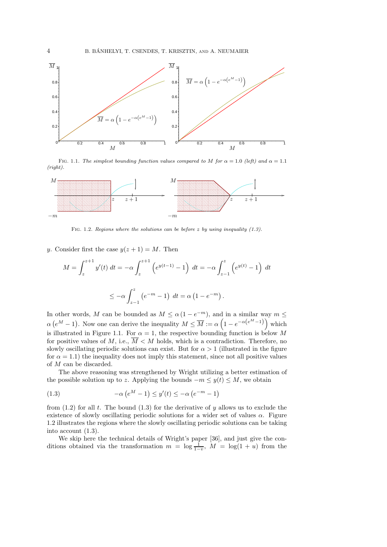

FIG. 1.1. The simplest bounding function values compared to M for  $\alpha = 1.0$  (left) and  $\alpha = 1.1$ (right).



FIG. 1.2. Regions where the solutions can be before  $z$  by using inequality  $(1.3)$ .

## y. Consider first the case  $y(z + 1) = M$ . Then

$$
M = \int_{z}^{z+1} y'(t) dt = -\alpha \int_{z}^{z+1} \left( e^{y(t-1)} - 1 \right) dt = -\alpha \int_{z-1}^{z} \left( e^{y(t)} - 1 \right) dt
$$
  

$$
\leq -\alpha \int_{z-1}^{z} \left( e^{-m} - 1 \right) dt = \alpha \left( 1 - e^{-m} \right).
$$

In other words, M can be bounded as  $M \le \alpha (1 - e^{-m})$ , and in a similar way  $m \le$  $\alpha(e^M - 1)$ . Now one can derive the inequality  $M \leq \overline{M} := \alpha \left(1 - e^{-\alpha(e^M - 1)}\right)$  which is illustrated in Figure 1.1. For  $\alpha = 1$ , the respective bounding function is below M for positive values of  $M$ , i.e.,  $\overline{M} < M$  holds, which is a contradiction. Therefore, no slowly oscillating periodic solutions can exist. But for  $\alpha > 1$  (illustrated in the figure for  $\alpha = 1.1$ ) the inequality does not imply this statement, since not all positive values of M can be discarded.

The above reasoning was strengthened by Wright utilizing a better estimation of the possible solution up to z. Applying the bounds  $-m \leq y(t) \leq M$ , we obtain

(1.3) 
$$
-\alpha \left( e^{M} - 1 \right) \leq y'(t) \leq -\alpha \left( e^{-m} - 1 \right)
$$

from  $(1.2)$  for all t. The bound  $(1.3)$  for the derivative of y allows us to exclude the existence of slowly oscillating periodic solutions for a wider set of values  $\alpha$ . Figure 1.2 illustrates the regions where the slowly oscillating periodic solutions can be taking into account (1.3).

We skip here the technical details of Wright's paper [36], and just give the conditions obtained via the transformation  $m = \log \frac{1}{1-v}$ ,  $M = \log(1 + u)$  from the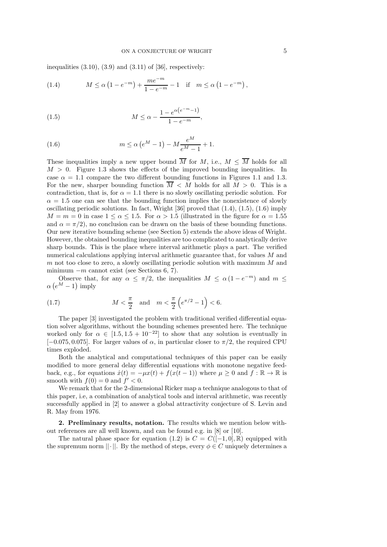inequalities  $(3.10)$ ,  $(3.9)$  and  $(3.11)$  of [36], respectively:

(1.4) 
$$
M \le \alpha \left(1 - e^{-m}\right) + \frac{me^{-m}}{1 - e^{-m}} - 1 \quad \text{if} \quad m \le \alpha \left(1 - e^{-m}\right),
$$

(1.5) 
$$
M \le \alpha - \frac{1 - e^{\alpha(e^{-m} - 1)}}{1 - e^{-m}},
$$

(1.6) 
$$
m \le \alpha (e^M - 1) - M \frac{e^M}{e^M - 1} + 1.
$$

These inequalities imply a new upper bound  $\overline{M}$  for  $M$ , i.e.,  $M \leq \overline{M}$  holds for all  $M > 0$ . Figure 1.3 shows the effects of the improved bounding inequalities. In case  $\alpha = 1.1$  compare the two different bounding functions in Figures 1.1 and 1.3. For the new, sharper bounding function  $\overline{M} < M$  holds for all  $M > 0$ . This is a contradiction, that is, for  $\alpha = 1.1$  there is no slowly oscillating periodic solution. For  $\alpha = 1.5$  one can see that the bounding function implies the nonexistence of slowly oscillating periodic solutions. In fact, Wright [36] proved that (1.4), (1.5), (1.6) imply  $M = m = 0$  in case  $1 \le \alpha \le 1.5$ . For  $\alpha > 1.5$  (illustrated in the figure for  $\alpha = 1.55$ ) and  $\alpha = \pi/2$ , no conclusion can be drawn on the basis of these bounding functions. Our new iterative bounding scheme (see Section 5) extends the above ideas of Wright. However, the obtained bounding inequalities are too complicated to analytically derive sharp bounds. This is the place where interval arithmetic plays a part. The verified numerical calculations applying interval arithmetic guarantee that, for values M and m not too close to zero, a slowly oscillating periodic solution with maximum  $M$  and minimum  $-m$  cannot exist (see Sections 6, 7).

Observe that, for any  $\alpha \leq \pi/2$ , the inequalities  $M \leq \alpha (1 - e^{-m})$  and  $m \leq$  $\alpha (e^M - 1)$  imply

(1.7) 
$$
M < \frac{\pi}{2}
$$
 and  $m < \frac{\pi}{2} \left( e^{\pi/2} - 1 \right) < 6$ .

The paper [3] investigated the problem with traditional verified differential equation solver algorithms, without the bounding schemes presented here. The technique worked only for  $\alpha \in [1.5, 1.5 + 10^{-22}]$  to show that any solution is eventually in [ $-0.075, 0.075$ ]. For larger values of  $\alpha$ , in particular closer to  $\pi/2$ , the required CPU times exploded.

Both the analytical and computational techniques of this paper can be easily modified to more general delay differential equations with monotone negative feedback, e.g., for equations  $\dot{x}(t) = -\mu x(t) + f(x(t-1))$  where  $\mu \geq 0$  and  $f : \mathbb{R} \to \mathbb{R}$  is smooth with  $f(0) = 0$  and  $f' < 0$ .

We remark that for the 2-dimensional Ricker map a technique analogous to that of this paper, i.e, a combination of analytical tools and interval arithmetic, was recently successfully applied in [2] to answer a global attractivity conjecture of S. Levin and R. May from 1976.

2. Preliminary results, notation. The results which we mention below without references are all well known, and can be found e.g. in [8] or [10].

The natural phase space for equation (1.2) is  $C = C([-1,0], \mathbb{R})$  equipped with the supremum norm  $||\cdot||$ . By the method of steps, every  $\phi \in C$  uniquely determines a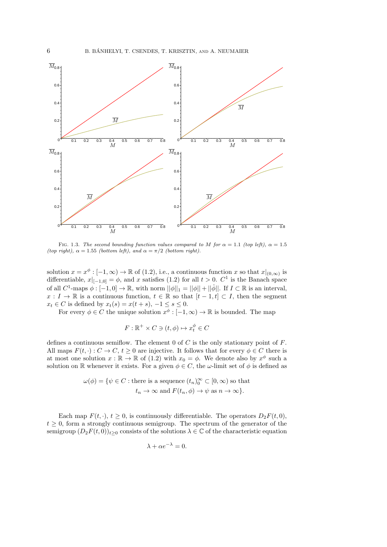

FIG. 1.3. The second bounding function values compared to M for  $\alpha = 1.1$  (top left),  $\alpha = 1.5$ (top right),  $\alpha = 1.55$  (bottom left), and  $\alpha = \pi/2$  (bottom right).

solution  $x = x^{\phi} : [-1, \infty) \to \mathbb{R}$  of (1.2), i.e., a continuous function x so that  $x|_{(0,\infty)}$  is differentiable,  $x|_{[-1,0]} = \phi$ , and x satisfies (1.2) for all  $t > 0$ .  $C^1$  is the Banach space of all  $C^1$ -maps  $\phi: [-1,0] \to \mathbb{R}$ , with norm  $||\phi||_1 = ||\phi|| + ||\dot{\phi}||$ . If  $I \subset \mathbb{R}$  is an interval,  $x: I \to \mathbb{R}$  is a continuous function,  $t \in \mathbb{R}$  so that  $[t-1, t] \subset I$ , then the segment  $x_t \in C$  is defined by  $x_t(s) = x(t+s), -1 \leq s \leq 0.$ 

For every  $\phi \in C$  the unique solution  $x^{\phi} : [-1, \infty) \to \mathbb{R}$  is bounded. The map

$$
F: \mathbb{R}^+ \times C \ni (t, \phi) \mapsto x_t^{\phi} \in C
$$

defines a continuous semiflow. The element 0 of  $C$  is the only stationary point of  $F$ . All maps  $F(t, \cdot): C \to C, t \geq 0$  are injective. It follows that for every  $\phi \in C$  there is at most one solution  $x : \mathbb{R} \to \mathbb{R}$  of (1.2) with  $x_0 = \phi$ . We denote also by  $x^{\phi}$  such a solution on R whenever it exists. For a given  $\phi \in C$ , the  $\omega$ -limit set of  $\phi$  is defined as

$$
\omega(\phi) = \{ \psi \in C : \text{there is a sequence } (t_n)_0^{\infty} \subset [0, \infty) \text{ so that } t_n \to \infty \text{ and } F(t_n, \phi) \to \psi \text{ as } n \to \infty \}.
$$

Each map  $F(t, \cdot), t \geq 0$ , is continuously differentiable. The operators  $D_2F(t, 0)$ ,  $t \geq 0$ , form a strongly continuous semigroup. The spectrum of the generator of the semigroup  $(D_2F(t,0))_{t\geq0}$  consists of the solutions  $\lambda \in \mathbb{C}$  of the characteristic equation

$$
\lambda + \alpha e^{-\lambda} = 0.
$$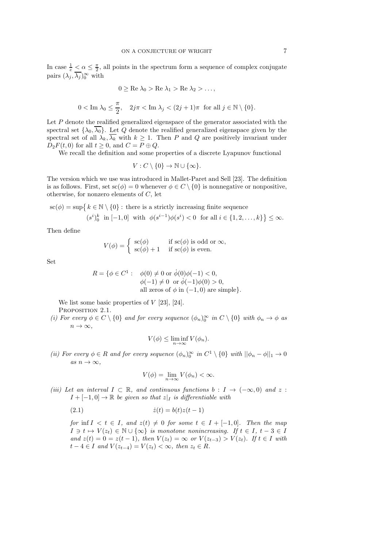In case  $\frac{1}{e} \leq \alpha \leq \frac{\pi}{2}$ , all points in the spectrum form a sequence of complex conjugate pairs  $(\lambda_j, \overline{\lambda_j})_0^{\infty}$  with

$$
0 \ge \text{Re } \lambda_0 > \text{Re } \lambda_1 > \text{Re } \lambda_2 > \dots,
$$
  

$$
0 < \text{Im } \lambda_0 \le \frac{\pi}{2}, \quad 2j\pi < \text{Im } \lambda_j < (2j+1)\pi \text{ for all } j \in \mathbb{N} \setminus \{0\}.
$$

Let P denote the realified generalized eigenspace of the generator associated with the spectral set  $\{\lambda_0, \overline{\lambda_0}\}$ . Let Q denote the realified generalized eigenspace given by the spectral set of all  $\lambda_k, \overline{\lambda_k}$  with  $k \geq 1$ . Then P and Q are positively invariant under  $D_2F(t,0)$  for all  $t \geq 0$ , and  $C = P \oplus Q$ .

We recall the definition and some properties of a discrete Lyapunov functional

$$
V: C \setminus \{0\} \to \mathbb{N} \cup \{\infty\}.
$$

The version which we use was introduced in Mallet-Paret and Sell [23]. The definition is as follows. First, set  $\operatorname{sc}(\phi) = 0$  whenever  $\phi \in C \setminus \{0\}$  is nonnegative or nonpositive, otherwise, for nonzero elements of C, let

$$
\mathrm{sc}(\phi) = \sup \{ k \in \mathbb{N} \setminus \{0\} : \text{ there is a strictly increasing finite sequence } (s^i)_0^k \text{ in } [-1,0] \text{ with } \phi(s^{i-1})\phi(s^i) < 0 \text{ for all } i \in \{1,2,\ldots,k\} \} \leq \infty.
$$

Then define

$$
V(\phi) = \begin{cases} \text{ sc}(\phi) & \text{if } \text{sc}(\phi) \text{ is odd or } \infty, \\ \text{ sc}(\phi) + 1 & \text{if } \text{sc}(\phi) \text{ is even.} \end{cases}
$$

Set

$$
R = \{ \phi \in C^1 : \phi(0) \neq 0 \text{ or } \dot{\phi}(0)\phi(-1) < 0, \\ \phi(-1) \neq 0 \text{ or } \dot{\phi}(-1)\phi(0) > 0, \\ \text{all zeros of } \phi \text{ in } (-1, 0) \text{ are simple} \}.
$$

We list some basic properties of  $V$  [23], [24].

PROPOSITION 2.1.

(i) For every  $\phi \in C \setminus \{0\}$  and for every sequence  $(\phi_n)_0^{\infty}$  in  $C \setminus \{0\}$  with  $\phi_n \to \phi$  as  $n \to \infty$ ,

$$
V(\phi) \le \liminf_{n \to \infty} V(\phi_n).
$$

(ii) For every  $\phi \in R$  and for every sequence  $(\phi_n)_0^{\infty}$  in  $C^1 \setminus \{0\}$  with  $||\phi_n - \phi||_1 \to 0$ as  $n \to \infty$ ,

$$
V(\phi) = \lim_{n \to \infty} V(\phi_n) < \infty.
$$

(iii) Let an interval  $I \subset \mathbb{R}$ , and continuous functions  $b : I \to (-\infty, 0)$  and z:  $I + [-1, 0] \rightarrow \mathbb{R}$  be given so that  $z|_I$  is differentiable with

$$
(2.1) \qquad \qquad \dot{z}(t) = b(t)z(t-1)
$$

for inf  $I \leq t \in I$ , and  $z(t) \neq 0$  for some  $t \in I + [-1, 0]$ . Then the map  $I \ni t \mapsto V(z_t) \in \mathbb{N} \cup \{\infty\}$  is monotone nonincreasing. If  $t \in I, t - 3 \in I$ and  $z(t) = 0 = z(t-1)$ , then  $V(z_t) = \infty$  or  $V(z_{t-3}) > V(z_t)$ . If  $t \in I$  with  $t-4 \in I$  and  $V(z_{t-4}) = V(z_t) < \infty$ , then  $z_t \in R$ .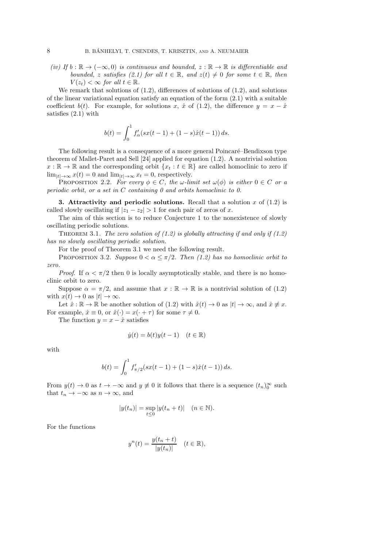(iv) If  $b : \mathbb{R} \to (-\infty, 0)$  is continuous and bounded,  $z : \mathbb{R} \to \mathbb{R}$  is differentiable and bounded, z satisfies (2.1) for all  $t \in \mathbb{R}$ , and  $z(t) \neq 0$  for some  $t \in \mathbb{R}$ , then  $V(z_t) < \infty$  for all  $t \in \mathbb{R}$ .

We remark that solutions of  $(1.2)$ , differences of solutions of  $(1.2)$ , and solutions of the linear variational equation satisfy an equation of the form  $(2.1)$  with a suitable coefficient  $b(t)$ . For example, for solutions x,  $\hat{x}$  of (1.2), the difference  $y = x - \hat{x}$ satisfies (2.1) with

$$
b(t) = \int_0^1 f'_\alpha(sx(t-1) + (1-s)\hat{x}(t-1)) ds.
$$

The following result is a consequence of a more general Poincaré–Bendixson type theorem of Mallet-Paret and Sell [24] applied for equation (1.2). A nontrivial solution  $x : \mathbb{R} \to \mathbb{R}$  and the corresponding orbit  $\{x_t : t \in \mathbb{R}\}\$  are called homoclinic to zero if  $\lim_{|t|\to\infty} x(t) = 0$  and  $\lim_{|t|\to\infty} x_t = 0$ , respectively.

PROPOSITION 2.2. For every  $\phi \in C$ , the w-limit set  $\omega(\phi)$  is either  $0 \in C$  or a periodic orbit, or a set in  $C$  containing  $\theta$  and orbits homoclinic to  $\theta$ .

**3.** Attractivity and periodic solutions. Recall that a solution x of  $(1.2)$  is called slowly oscillating if  $|z_1 - z_2| > 1$  for each pair of zeros of x.

The aim of this section is to reduce Conjecture 1 to the nonexistence of slowly oscillating periodic solutions.

THEOREM 3.1. The zero solution of  $(1.2)$  is globally attracting if and only if  $(1.2)$ has no slowly oscillating periodic solution.

For the proof of Theorem 3.1 we need the following result.

PROPOSITION 3.2. Suppose  $0 < \alpha \leq \pi/2$ . Then (1.2) has no homoclinic orbit to zero.

*Proof.* If  $\alpha < \pi/2$  then 0 is locally asymptotically stable, and there is no homoclinic orbit to zero.

Suppose  $\alpha = \pi/2$ , and assume that  $x : \mathbb{R} \to \mathbb{R}$  is a nontrivial solution of (1.2) with  $x(t) \to 0$  as  $|t| \to \infty$ .

Let  $\hat{x} : \mathbb{R} \to \mathbb{R}$  be another solution of  $(1.2)$  with  $\hat{x}(t) \to 0$  as  $|t| \to \infty$ , and  $\hat{x} \neq x$ . For example,  $\hat{x} \equiv 0$ , or  $\hat{x}(\cdot) = x(\cdot + \tau)$  for some  $\tau \neq 0$ .

The function  $y = x - \hat{x}$  satisfies

$$
\dot{y}(t) = b(t)y(t-1) \quad (t \in \mathbb{R})
$$

with

$$
b(t) = \int_0^1 f'_{\pi/2}(sx(t-1) + (1-s)\hat{x}(t-1)) ds.
$$

From  $y(t) \to 0$  as  $t \to -\infty$  and  $y \neq 0$  it follows that there is a sequence  $(t_n)_{0}^{\infty}$  such that  $t_n \to -\infty$  as  $n \to \infty$ , and

$$
|y(t_n)| = \sup_{t \le 0} |y(t_n + t)| \quad (n \in \mathbb{N}).
$$

For the functions

$$
y^{n}(t) = \frac{y(t_{n} + t)}{|y(t_{n})|} \quad (t \in \mathbb{R}),
$$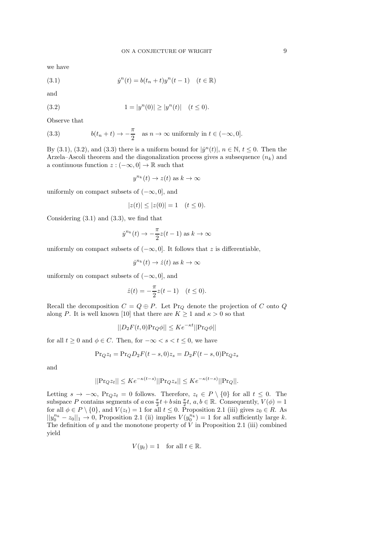we have

(3.1) 
$$
\dot{y}^{n}(t) = b(t_{n} + t)y^{n}(t-1) \quad (t \in \mathbb{R})
$$

and

(3.2) 
$$
1 = |y^n(0)| \ge |y^n(t)| \quad (t \le 0).
$$

Observe that

(3.3) 
$$
b(t_n + t) \to -\frac{\pi}{2} \text{ as } n \to \infty \text{ uniformly in } t \in (-\infty, 0].
$$

By (3.1), (3.2), and (3.3) there is a uniform bound for  $|y^n(t)|$ ,  $n \in \mathbb{N}$ ,  $t \le 0$ . Then the Arzela–Ascoli theorem and the diagonalization process gives a subsequence  $(n_k)$  and a continuous function  $z:(-\infty,0]\to\mathbb{R}$  such that

$$
y^{n_k}(t) \to z(t) \text{ as } k \to \infty
$$

uniformly on compact subsets of  $(-\infty, 0]$ , and

$$
|z(t)| \le |z(0)| = 1 \quad (t \le 0).
$$

Considering (3.1) and (3.3), we find that

$$
\dot{y}^{n_k}(t) \to -\frac{\pi}{2}z(t-1) \text{ as } k \to \infty
$$

uniformly on compact subsets of  $(-\infty, 0]$ . It follows that z is differentiable,

$$
\dot{y}^{n_k}(t) \to \dot{z}(t) \text{ as } k \to \infty
$$

uniformly on compact subsets of  $(-\infty, 0]$ , and

$$
\dot{z}(t) = -\frac{\pi}{2}z(t-1) \quad (t \le 0).
$$

Recall the decomposition  $C = Q \oplus P$ . Let Pr<sub>Q</sub> denote the projection of C onto Q along P. It is well known [10] that there are  $K \geq 1$  and  $\kappa > 0$  so that

$$
||D_2F(t,0)\Pr_Q\phi|| \leq Ke^{-\kappa t}||\Pr_Q\phi||
$$

for all  $t \geq 0$  and  $\phi \in C$ . Then, for  $-\infty < s < t \leq 0$ , we have

$$
Pr_Q z_t = Pr_Q D_2 F(t-s,0) z_s = D_2 F(t-s,0) Pr_Q z_s
$$

and

$$
||\Pr_{Q}z_{t}|| \leq Ke^{-\kappa(t-s)}||\Pr_{Q}z_{s}|| \leq Ke^{-\kappa(t-s)}||\Pr_{Q}||.
$$

Letting  $s \to -\infty$ , Pr<sub>Q</sub>z<sub>t</sub> = 0 follows. Therefore,  $z_t \in P \setminus \{0\}$  for all  $t \leq 0$ . The subspace P contains segments of  $a \cos \frac{\pi}{2} t + b \sin \frac{\pi}{2} t$ ,  $a, b \in \mathbb{R}$ . Consequently,  $V(\phi) = 1$ for all  $\phi \in P \setminus \{0\}$ , and  $V(z_t) = 1$  for all  $t \leq 0$ . Proposition 2.1 (iii) gives  $z_0 \in R$ . As  $||y_0^{n_k} - z_0||_1 \to 0$ , Proposition 2.1 (ii) implies  $V(y_0^{n_k}) = 1$  for all sufficiently large k. The definition of y and the monotone property of  $V$  in Proposition 2.1 (iii) combined yield

$$
V(y_t) = 1 \quad \text{for all } t \in \mathbb{R}.
$$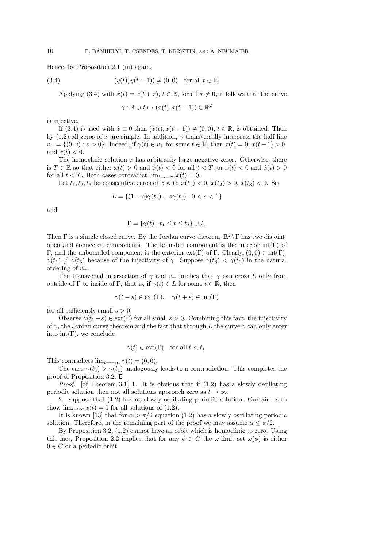Hence, by Proposition 2.1 (iii) again,

(3.4) 
$$
(y(t), y(t-1)) \neq (0,0)
$$
 for all  $t \in \mathbb{R}$ .

Applying (3.4) with  $\hat{x}(t) = x(t + \tau)$ ,  $t \in \mathbb{R}$ , for all  $\tau \neq 0$ , it follows that the curve

$$
\gamma : \mathbb{R} \ni t \mapsto (x(t), x(t-1)) \in \mathbb{R}^2
$$

is injective.

If (3.4) is used with  $\hat{x} \equiv 0$  then  $(x(t), x(t-1)) \neq (0, 0), t \in \mathbb{R}$ , is obtained. Then by (1.2) all zeros of x are simple. In addition,  $\gamma$  transversally intersects the half line  $v_+ = \{(0, v) : v > 0\}$ . Indeed, if  $\gamma(t) \in v_+$  for some  $t \in \mathbb{R}$ , then  $x(t) = 0$ ,  $x(t-1) > 0$ , and  $\dot{x}(t) < 0$ .

The homoclinic solution  $x$  has arbitrarily large negative zeros. Otherwise, there is  $T \in \mathbb{R}$  so that either  $x(t) > 0$  and  $\dot{x}(t) < 0$  for all  $t < T$ , or  $x(t) < 0$  and  $\dot{x}(t) > 0$ for all  $t < T$ . Both cases contradict lim<sub> $t \to -\infty$ </sub>  $x(t) = 0$ .

Let  $t_1, t_2, t_3$  be consecutive zeros of x with  $\dot{x}(t_1) < 0, \dot{x}(t_2) > 0, \dot{x}(t_3) < 0$ . Set

$$
L = \{(1 - s)\gamma(t_1) + s\gamma(t_3) : 0 < s < 1\}
$$

and

$$
\Gamma = \{ \gamma(t) : t_1 \le t \le t_3 \} \cup L.
$$

Then  $\Gamma$  is a simple closed curve. By the Jordan curve theorem,  $\mathbb{R}^2 \setminus \Gamma$  has two disjoint, open and connected components. The bounded component is the interior  $int(\Gamma)$  of Γ, and the unbounded component is the exterior  $ext(\Gamma)$  of Γ. Clearly,  $(0, 0) \in int(\Gamma)$ .  $\gamma(t_1) \neq \gamma(t_3)$  because of the injectivity of  $\gamma$ . Suppose  $\gamma(t_3) < \gamma(t_1)$  in the natural ordering of  $v_{+}$ .

The transversal intersection of  $\gamma$  and  $v_+$  implies that  $\gamma$  can cross L only from outside of Γ to inside of Γ, that is, if  $\gamma(t) \in L$  for some  $t \in \mathbb{R}$ , then

$$
\gamma(t - s) \in \text{ext}(\Gamma), \quad \gamma(t + s) \in \text{int}(\Gamma)
$$

for all sufficiently small  $s > 0$ .

Observe  $\gamma(t_1-s) \in \text{ext}(\Gamma)$  for all small  $s > 0$ . Combining this fact, the injectivity of  $\gamma$ , the Jordan curve theorem and the fact that through L the curve  $\gamma$  can only enter into int $(\Gamma)$ , we conclude

$$
\gamma(t) \in \text{ext}(\Gamma) \quad \text{for all } t < t_1.
$$

This contradicts  $\lim_{t\to-\infty} \gamma(t) = (0,0).$ 

The case  $\gamma(t_3) > \gamma(t_1)$  analogously leads to a contradiction. This completes the proof of Proposition 3.2.  $\square$ 

*Proof.* [of Theorem 3.1] 1. It is obvious that if  $(1.2)$  has a slowly oscillating periodic solution then not all solutions approach zero as  $t \to \infty$ .

2. Suppose that (1.2) has no slowly oscillating periodic solution. Our aim is to show  $\lim_{t\to\infty} x(t) = 0$  for all solutions of (1.2).

It is known [13] that for  $\alpha > \pi/2$  equation (1.2) has a slowly oscillating periodic solution. Therefore, in the remaining part of the proof we may assume  $\alpha \leq \pi/2$ .

By Proposition 3.2, (1.2) cannot have an orbit which is homoclinic to zero. Using this fact, Proposition 2.2 implies that for any  $\phi \in C$  the  $\omega$ -limit set  $\omega(\phi)$  is either  $0 \in C$  or a periodic orbit.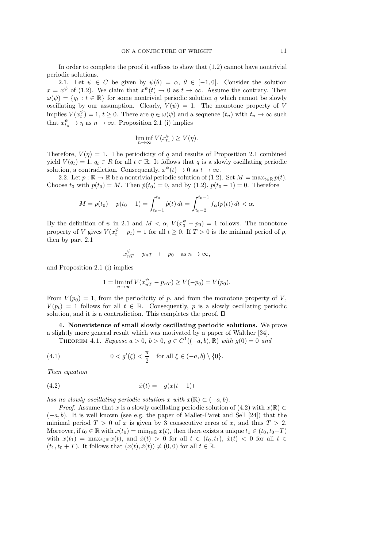In order to complete the proof it suffices to show that (1.2) cannot have nontrivial periodic solutions.

2.1. Let  $\psi \in C$  be given by  $\psi(\theta) = \alpha, \theta \in [-1, 0]$ . Consider the solution  $x = x^{\psi}$  of (1.2). We claim that  $x^{\psi}(t) \to 0$  as  $t \to \infty$ . Assume the contrary. Then  $\omega(\psi) = \{q_t : t \in \mathbb{R}\}\$ for some nontrivial periodic solution q which cannot be slowly oscillating by our assumption. Clearly,  $V(\psi) = 1$ . The monotone property of V implies  $V(x_t^{\psi}) = 1, t \ge 0$ . There are  $\eta \in \omega(\psi)$  and a sequence  $(t_n)$  with  $t_n \to \infty$  such that  $x_{t_n}^{\psi} \to \eta$  as  $n \to \infty$ . Proposition 2.1 (i) implies

$$
\liminf_{n \to \infty} V(x_{t_n}^{\psi}) \ge V(\eta).
$$

Therefore,  $V(\eta) = 1$ . The periodicity of q and results of Proposition 2.1 combined yield  $V(q_t) = 1$ ,  $q_t \in R$  for all  $t \in \mathbb{R}$ . It follows that q is a slowly oscillating periodic solution, a contradiction. Consequently,  $x^{\psi}(t) \to 0$  as  $t \to \infty$ .

2.2. Let  $p : \mathbb{R} \to \mathbb{R}$  be a nontrivial periodic solution of (1.2). Set  $M = \max_{t \in \mathbb{R}} p(t)$ . Choose  $t_0$  with  $p(t_0) = M$ . Then  $\dot{p}(t_0) = 0$ , and by (1.2),  $p(t_0 - 1) = 0$ . Therefore

$$
M = p(t_0) - p(t_0 - 1) = \int_{t_0 - 1}^{t_0} \dot{p}(t) dt = \int_{t_0 - 2}^{t_0 - 1} f_\alpha(p(t)) dt < \alpha.
$$

By the definition of  $\psi$  in 2.1 and  $M < \alpha$ ,  $V(x_0^{\psi} - p_0) = 1$  follows. The monotone property of V gives  $V(x_t^{\psi} - p_t) = 1$  for all  $t \ge 0$ . If  $T > 0$  is the minimal period of p, then by part 2.1

$$
x_{nT}^{\psi} - p_{nT} \to -p_0 \quad \text{as } n \to \infty,
$$

and Proposition 2.1 (i) implies

$$
1 = \liminf_{n \to \infty} V(x_{nT}^{\psi} - p_{nT}) \ge V(-p_0) = V(p_0).
$$

From  $V(p_0) = 1$ , from the periodicity of p, and from the monotone property of V,  $V(p_t) = 1$  follows for all  $t \in \mathbb{R}$ . Consequently, p is a slowly oscillating periodic solution, and it is a contradiction. This completes the proof.  $\square$ 

4. Nonexistence of small slowly oscillating periodic solutions. We prove a slightly more general result which was motivated by a paper of Walther [34].

THEOREM 4.1. Suppose  $a > 0$ ,  $b > 0$ ,  $g \in C^{1}((-a, b), \mathbb{R})$  with  $g(0) = 0$  and

(4.1) 
$$
0 < g'(\xi) < \frac{\pi}{2}
$$
 for all  $\xi \in (-a, b) \setminus \{0\}.$ 

Then equation

(4.2) 
$$
\dot{x}(t) = -g(x(t-1))
$$

has no slowly oscillating periodic solution x with  $x(\mathbb{R}) \subset (-a, b)$ .

*Proof.* Assume that x is a slowly oscillating periodic solution of  $(4.2)$  with  $x(\mathbb{R}) \subset$  $(-a, b)$ . It is well known (see e.g. the paper of Mallet-Paret and Sell [24]) that the minimal period  $T > 0$  of x is given by 3 consecutive zeros of x, and thus  $T > 2$ . Moreover, if  $t_0 \in \mathbb{R}$  with  $x(t_0) = \min_{t \in \mathbb{R}} x(t)$ , then there exists a unique  $t_1 \in (t_0, t_0+T)$ with  $x(t_1) = \max_{t \in \mathbb{R}} x(t)$ , and  $\dot{x}(t) > 0$  for all  $t \in (t_0, t_1)$ ,  $\dot{x}(t) < 0$  for all  $t \in$  $(t_1, t_0 + T)$ . It follows that  $(x(t), \dot{x}(t)) \neq (0, 0)$  for all  $t \in \mathbb{R}$ .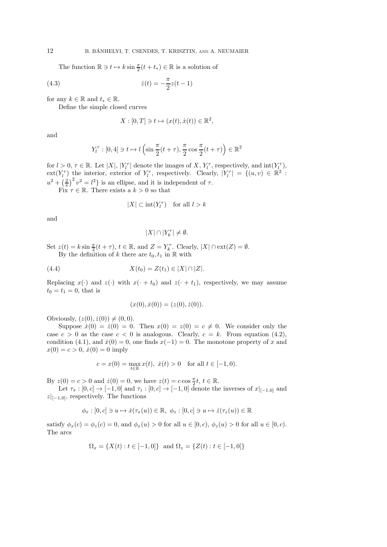The function  $\mathbb{R} \ni t \mapsto k \sin \frac{\pi}{2}(t + t_*) \in \mathbb{R}$  is a solution of

(4.3) 
$$
\dot{z}(t) = -\frac{\pi}{2}z(t-1)
$$

for any  $k \in \mathbb{R}$  and  $t_* \in \mathbb{R}$ .

Define the simple closed curves

$$
X : [0, T] \ni t \mapsto (x(t), \dot{x}(t)) \in \mathbb{R}^2,
$$

and

$$
Y_l^{\tau} : [0, 4] \ni t \mapsto l\left(\sin\frac{\pi}{2}(t+\tau), \frac{\pi}{2}\cos\frac{\pi}{2}(t+\tau)\right) \in \mathbb{R}^2
$$

for  $l > 0$ ,  $\tau \in \mathbb{R}$ . Let  $|X|$ ,  $|Y_l^{\tau}|$  denote the images of X,  $Y_l^{\tau}$ , respectively, and  $\text{int}(Y_l^{\tau})$ ,  $ext(Y_l^{\tau})$  the interior, exterior of  $Y_l^{\tau}$ , respectively. Clearly,  $|Y_l^{\tau}| = \{(u, v) \in \mathbb{R}^2 :$  $u^2 + \left(\frac{2}{\pi}\right)^2 v^2 = l^2$  is an ellipse, and it is independent of  $\tau$ .

Fix  $\tau \in \mathbb{R}$ . There exists a  $k > 0$  so that

$$
|X|\subset \operatorname{int}(Y_l^{\tau})\quad \text{for all } l>k
$$

and

$$
|X|\cap |Y_k^\tau|\neq \emptyset.
$$

Set  $z(t) = k \sin \frac{\pi}{2}(t + \tau)$ ,  $t \in \mathbb{R}$ , and  $Z = Y_k^{\tau}$ . Clearly,  $|X| \cap \text{ext}(Z) = \emptyset$ .

By the definition of  $k$  there are  $t_0, t_1$  in  $\mathbb R$  with

(4.4) 
$$
X(t_0) = Z(t_1) \in |X| \cap |Z|.
$$

Replacing  $x(\cdot)$  and  $z(\cdot)$  with  $x(\cdot + t_0)$  and  $z(\cdot + t_1)$ , respectively, we may assume  $t_0 = t_1 = 0$ , that is

$$
(x(0), \dot{x}(0)) = (z(0), \dot{z}(0)).
$$

Obviously,  $(z(0), \dot{z}(0)) \neq (0, 0)$ .

Suppose  $\dot{x}(0) = \dot{z}(0) = 0$ . Then  $x(0) = z(0) = c \neq 0$ . We consider only the case  $c > 0$  as the case  $c < 0$  is analogous. Clearly,  $c = k$ . From equation (4.2), condition (4.1), and  $\dot{x}(0) = 0$ , one finds  $x(-1) = 0$ . The monotone property of x and  $x(0) = c > 0, \dot{x}(0) = 0$  imply

$$
c = x(0) = \max_{t \in \mathbb{R}} x(t), \dot{x}(t) > 0 \text{ for all } t \in [-1, 0).
$$

By  $z(0) = c > 0$  and  $z(0) = 0$ , we have  $z(t) = c \cos \frac{\pi}{2}t, t \in \mathbb{R}$ .

Let  $\tau_x : [0, c] \to [-1, 0]$  and  $\tau_z : [0, c] \to [-1, 0]$  denote the inverses of  $x|_{[-1, 0]}$  and  $|z|_{[-1,0]}$ , respectively. The functions

$$
\phi_x : [0, c] \ni u \mapsto \dot{x}(\tau_x(u)) \in \mathbb{R}, \ \phi_z : [0, c] \ni u \mapsto \dot{z}(\tau_z(u)) \in \mathbb{R}
$$

satisfy  $\phi_x(c) = \phi_z(c) = 0$ , and  $\phi_x(u) > 0$  for all  $u \in [0, c)$ ,  $\phi_z(u) > 0$  for all  $u \in [0, c)$ . The arcs

$$
\Omega_x = \{ X(t) : t \in [-1, 0] \} \text{ and } \Omega_z = \{ Z(t) : t \in [-1, 0] \}
$$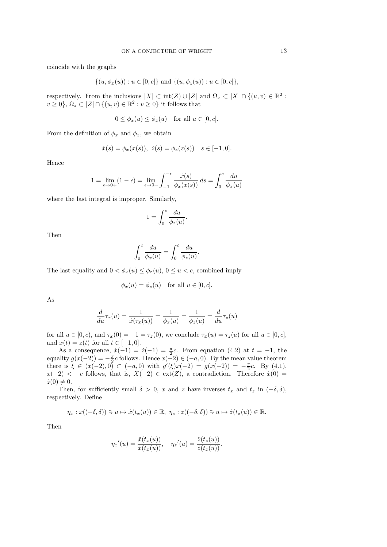coincide with the graphs

$$
\{(u, \phi_x(u)) : u \in [0, c]\} \text{ and } \{(u, \phi_z(u)) : u \in [0, c]\},\
$$

respectively. From the inclusions  $|X| \subset \text{int}(Z) \cup |Z|$  and  $\Omega_x \subset |X| \cap \{(u, v) \in \mathbb{R}^2 :$  $v \geq 0$ ,  $\Omega_z \subset |Z| \cap \{(u, v) \in \mathbb{R}^2 : v \geq 0\}$  it follows that

$$
0 \le \phi_x(u) \le \phi_z(u) \quad \text{for all } u \in [0, c].
$$

From the definition of  $\phi_x$  and  $\phi_z$ , we obtain

$$
\dot{x}(s) = \phi_x(x(s)), \ \dot{z}(s) = \phi_z(z(s)) \quad s \in [-1, 0].
$$

Hence

$$
1 = \lim_{\epsilon \to 0+} (1 - \epsilon) = \lim_{\epsilon \to 0+} \int_{-1}^{-\epsilon} \frac{\dot{x}(s)}{\phi_x(x(s))} ds = \int_0^c \frac{du}{\phi_x(u)}
$$

where the last integral is improper. Similarly,

$$
1 = \int_0^c \frac{du}{\phi_z(u)}.
$$

Then

$$
\int_0^c \frac{du}{\phi_x(u)} = \int_0^c \frac{du}{\phi_z(u)}.
$$

The last equality and  $0 < \phi_x(u) \leq \phi_z(u)$ ,  $0 \leq u < c$ , combined imply

$$
\phi_x(u) = \phi_z(u) \quad \text{for all } u \in [0, c].
$$

As

$$
\frac{d}{du}\tau_x(u) = \frac{1}{\dot{x}(\tau_x(u))} = \frac{1}{\phi_x(u)} = \frac{1}{\phi_z(u)} = \frac{d}{du}\tau_z(u)
$$

for all  $u \in [0, c)$ , and  $\tau_x(0) = -1 = \tau_z(0)$ , we conclude  $\tau_x(u) = \tau_z(u)$  for all  $u \in [0, c]$ , and  $x(t) = z(t)$  for all  $t \in [-1, 0]$ .

As a consequence,  $\dot{x}(-1) = \dot{z}(-1) = \frac{\pi}{2}c$ . From equation (4.2) at  $t = -1$ , the equality  $g(x(-2)) = -\frac{\pi}{2}c$  follows. Hence  $x(-2) \in (-a, 0)$ . By the mean value theorem there is  $\xi \in (x(-2), 0) \subset (-a, 0)$  with  $g'(\xi)x(-2) = g(x(-2)) = -\frac{\pi}{2}c$ . By (4.1),  $x(-2) < -c$  follows, that is,  $X(-2) \in ext(Z)$ , a contradiction. Therefore  $\dot{x}(0) =$  $\dot{z}(0) \neq 0.$ 

Then, for sufficiently small  $\delta > 0$ , x and z have inverses  $t_x$  and  $t_z$  in  $(-\delta, \delta)$ , respectively. Define

$$
\eta_x: x((-\delta,\delta)) \ni u \mapsto \dot{x}(t_x(u)) \in \mathbb{R}, \ \eta_z: z((-\delta,\delta)) \ni u \mapsto \dot{z}(t_z(u)) \in \mathbb{R}.
$$

Then

$$
\eta_x'(u) = \frac{\ddot{x}(t_x(u))}{\dot{x}(t_x(u))}, \quad \eta_z'(u) = \frac{\ddot{z}(t_z(u))}{\dot{z}(t_z(u))}.
$$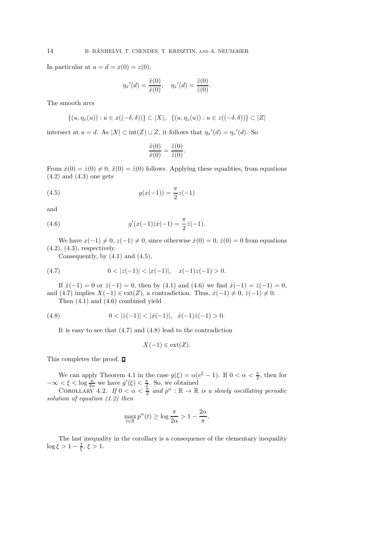In particular at  $u = d = x(0) = z(0)$ ,

$$
\eta_x'(d) = \frac{\ddot{x}(0)}{\dot{x}(0)}, \quad \eta_z'(d) = \frac{\ddot{z}(0)}{\dot{z}(0)}.
$$

The smooth arcs

$$
\{(u,\eta_x(u)):u\in x((-\delta,\delta))\}\subset |X|,\ \{(u,\eta_z(u)):u\in z((-\delta,\delta))\}\subset |Z|
$$

intersect at  $u = d$ . As  $|X| \subset \text{int}(Z) \cup Z$ , it follows that  $\eta_x'(d) = \eta_z'(d)$ . So

$$
\frac{\ddot{x}(0)}{\dot{x}(0)} = \frac{\ddot{z}(0)}{\dot{z}(0)}.
$$

From  $\dot{x}(0) = \dot{z}(0) \neq 0$ ,  $\ddot{x}(0) = \ddot{z}(0)$  follows. Applying these equalities, from equations  $(4.2)$  and  $(4.3)$  one gets

(4.5) 
$$
g(x(-1)) = \frac{\pi}{2}z(-1)
$$

and

(4.6) 
$$
g'(x(-1))\dot{x}(-1) = \frac{\pi}{2}\dot{z}(-1).
$$

We have  $x(-1) \neq 0, z(-1) \neq 0$ , since otherwise  $\dot{x}(0) = 0, \dot{z}(0) = 0$  from equations (4.2), (4.3), respectively.

Consequently, by  $(4.1)$  and  $(4.5)$ ,

(4.7) 
$$
0 < |z(-1)| < |x(-1)|, \quad x(-1)z(-1) > 0.
$$

If  $\dot{x}(-1) = 0$  or  $\dot{z}(-1) = 0$ , then by (4.1) and (4.6) we find  $\dot{x}(-1) = \dot{z}(-1) = 0$ , and (4.7) implies  $X(-1) \in \text{ext}(Z)$ , a contradiction. Thus,  $\dot{x}(-1) \neq 0$ ,  $\dot{z}(-1) \neq 0$ .

Then (4.1) and (4.6) combined yield

(4.8) 
$$
0 < |z(-1)| < |x(-1)|, \quad \dot{x}(-1)\dot{z}(-1) > 0.
$$

It is easy to see that (4.7) and (4.8) lead to the contradiction

$$
X(-1) \in \text{ext}(Z).
$$

This completes the proof.  $\Box$ 

We can apply Theorem 4.1 in the case  $g(\xi) = \alpha (e^{\xi} - 1)$ . If  $0 < \alpha < \frac{\pi}{2}$ , then for  $-\infty < \xi < \log \frac{\pi}{2\alpha}$  we have  $g'(\xi) < \frac{\pi}{2}$ . So, we obtained

COROLLARY 4.2. If  $0 < \alpha < \frac{\pi}{2}$  and  $p^{\alpha} : \mathbb{R} \to \mathbb{R}$  is a slowly oscillating periodic solution of equation (1.2) then

$$
\max_{t \in \mathbb{R}} p^{\alpha}(t) \ge \log \frac{\pi}{2\alpha} > 1 - \frac{2\alpha}{\pi}.
$$

The last inequality in the corollary is a consequence of the elementary inequality  $\log \xi > 1 - \frac{1}{\xi}, \xi > 1.$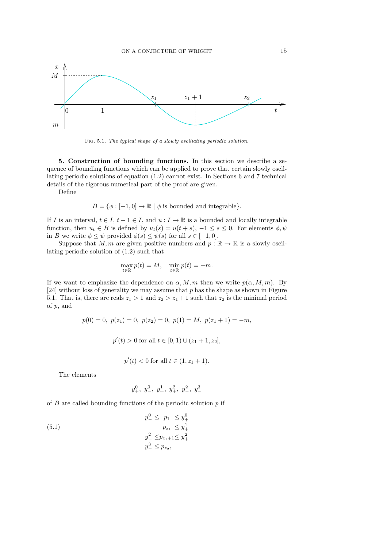

Fig. 5.1. The typical shape of a slowly oscillating periodic solution.

5. Construction of bounding functions. In this section we describe a sequence of bounding functions which can be applied to prove that certain slowly oscillating periodic solutions of equation (1.2) cannot exist. In Sections 6 and 7 technical details of the rigorous numerical part of the proof are given.

Define

 $B = \{\phi : [-1, 0] \to \mathbb{R} \mid \phi \text{ is bounded and integrable}\}.$ 

If I is an interval,  $t \in I$ ,  $t - 1 \in I$ , and  $u : I \to \mathbb{R}$  is a bounded and locally integrable function, then  $u_t \in B$  is defined by  $u_t(s) = u(t+s)$ ,  $-1 \le s \le 0$ . For elements  $\phi, \psi$ in B we write  $\phi \leq \psi$  provided  $\phi(s) \leq \psi(s)$  for all  $s \in [-1, 0]$ .

Suppose that M, m are given positive numbers and  $p : \mathbb{R} \to \mathbb{R}$  is a slowly oscillating periodic solution of (1.2) such that

$$
\max_{t \in \mathbb{R}} p(t) = M, \quad \min_{t \in \mathbb{R}} p(t) = -m.
$$

If we want to emphasize the dependence on  $\alpha$ , M, m then we write  $p(\alpha, M, m)$ . By  $[24]$  without loss of generality we may assume that p has the shape as shown in Figure 5.1. That is, there are reals  $z_1 > 1$  and  $z_2 > z_1 + 1$  such that  $z_2$  is the minimal period of p, and

$$
p(0) = 0, \ p(z_1) = 0, \ p(z_2) = 0, \ p(1) = M, \ p(z_1 + 1) = -m,
$$
  

$$
p'(t) > 0 \text{ for all } t \in [0, 1) \cup (z_1 + 1, z_2],
$$
  

$$
p'(t) < 0 \text{ for all } t \in (1, z_1 + 1).
$$

The elements

$$
y_+^0,\ y_-^0,\ y_+^1,\ y_+^2,\ y_-^2,\ y_-^3
$$

of  $B$  are called bounding functions of the periodic solution  $p$  if

(5.1) 
$$
y_{-}^{0} \leq p_{1} \leq y_{+}^{0}
$$

$$
p_{z_{1}} \leq y_{+}^{1}
$$

$$
y_{-}^{2} \leq p_{z_{1}+1} \leq y_{+}^{2}
$$

$$
y_{-}^{3} \leq p_{z_{2}},
$$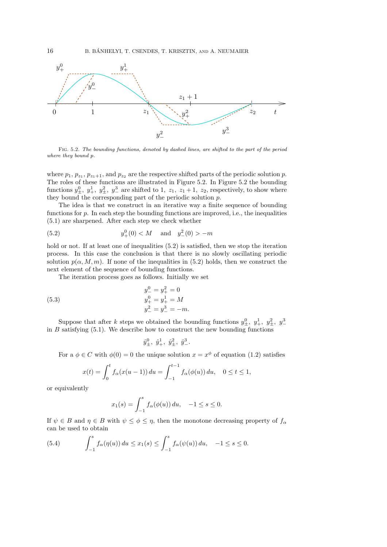

Fig. 5.2. The bounding functions, denoted by dashed lines, are shifted to the part of the period where they bound p.

where  $p_1, p_{z_1}, p_{z_1+1}$ , and  $p_{z_2}$  are the respective shifted parts of the periodic solution p. The roles of these functions are illustrated in Figure 5.2. In Figure 5.2 the bounding functions  $y_+^0$ ,  $y_+^1$ ,  $y_+^2$ ,  $y_-^3$  are shifted to 1,  $z_1$ ,  $z_1$  + 1,  $z_2$ , respectively, to show where they bound the corresponding part of the periodic solution  $p$ .

The idea is that we construct in an iterative way a finite sequence of bounding functions for  $p$ . In each step the bounding functions are improved, i.e., the inequalities (5.1) are sharpened. After each step we check whether

(5.2) 
$$
y_+^0(0) < M
$$
 and  $y_-^2(0) > -m$ 

hold or not. If at least one of inequalities  $(5.2)$  is satisfied, then we stop the iteration process. In this case the conclusion is that there is no slowly oscillating periodic solution  $p(\alpha, M, m)$ . If none of the inequalities in (5.2) holds, then we construct the next element of the sequence of bounding functions.

The iteration process goes as follows. Initially we set

(5.3) 
$$
y_{-}^{0} = y_{+}^{2} = 0
$$

$$
y_{+}^{0} = y_{+}^{1} = M
$$

$$
y_{-}^{2} = y_{-}^{3} = -m.
$$

Suppose that after k steps we obtained the bounding functions  $y^0_\pm$ ,  $y^1_\pm$ ,  $y^2_\pm$ ,  $y^3_\pm$ in B satisfying  $(5.1)$ . We describe how to construct the new bounding functions

$$
\hat{y}^0_\pm,~\hat{y}^1_+ ,~\hat{y}^2_\pm,~\hat{y}^3_-.
$$

For a  $\phi \in C$  with  $\phi(0) = 0$  the unique solution  $x = x^{\phi}$  of equation (1.2) satisfies

$$
x(t) = \int_0^t f_\alpha(x(u-1)) \, du = \int_{-1}^{t-1} f_\alpha(\phi(u)) \, du, \quad 0 \le t \le 1,
$$

or equivalently

$$
x_1(s) = \int_{-1}^s f_\alpha(\phi(u)) \, du, \quad -1 \le s \le 0.
$$

If  $\psi \in B$  and  $\eta \in B$  with  $\psi \leq \phi \leq \eta$ , then the monotone decreasing property of  $f_{\alpha}$ can be used to obtain

(5.4) 
$$
\int_{-1}^{s} f_{\alpha}(\eta(u)) du \leq x_1(s) \leq \int_{-1}^{s} f_{\alpha}(\psi(u)) du, -1 \leq s \leq 0.
$$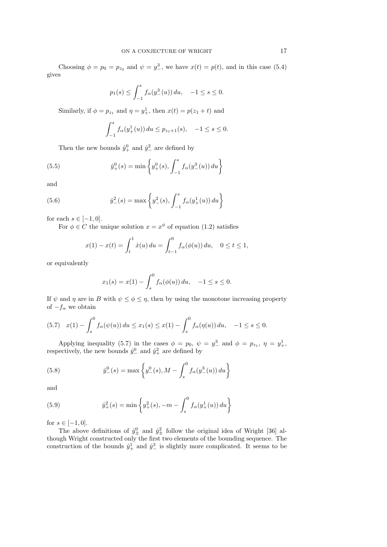Choosing  $\phi = p_0 = p_{z_2}$  and  $\psi = y_{-}^3$ , we have  $x(t) = p(t)$ , and in this case (5.4) gives

$$
p_1(s) \le \int_{-1}^s f_\alpha(y^3_-(u)) du, \quad -1 \le s \le 0.
$$

Similarly, if  $\phi = p_{z_1}$  and  $\eta = y_+^1$ , then  $x(t) = p(z_1 + t)$  and

$$
\int_{-1}^{s} f_{\alpha}(y_+^1(u)) du \le p_{z_1+1}(s), \quad -1 \le s \le 0.
$$

Then the new bounds  $\hat{y}_{+}^{0}$  and  $\hat{y}_{-}^{2}$  are defined by

(5.5) 
$$
\hat{y}_{+}^{0}(s) = \min \left\{ y_{+}^{0}(s), \int_{-1}^{s} f_{\alpha}(y_{-}^{3}(u)) du \right\}
$$

and

(5.6) 
$$
\hat{y}_{-}^{2}(s) = \max \left\{ y_{-}^{2}(s), \int_{-1}^{s} f_{\alpha}(y_{+}^{1}(u)) du \right\}
$$

for each  $s \in [-1,0].$ 

For  $\phi \in C$  the unique solution  $x = x^{\phi}$  of equation (1.2) satisfies

$$
x(1) - x(t) = \int_t^1 \dot{x}(u) \, du = \int_{t-1}^0 f_\alpha(\phi(u)) \, du, \quad 0 \le t \le 1,
$$

or equivalently

$$
x_1(s) = x(1) - \int_s^0 f_\alpha(\phi(u)) du, -1 \le s \le 0.
$$

If  $\psi$  and  $\eta$  are in B with  $\psi \leq \phi \leq \eta$ , then by using the monotone increasing property of  $-f_\alpha$  we obtain

$$
(5.7) \quad x(1) - \int_s^0 f_\alpha(\psi(u)) \, du \le x_1(s) \le x(1) - \int_s^0 f_\alpha(\eta(u)) \, du, \quad -1 \le s \le 0.
$$

Applying inequality (5.7) in the cases  $\phi = p_0, \ \psi = y_\perp^3$  and  $\phi = p_{z_1}, \ \eta = y_\perp^1$ , respectively, the new bounds  $\hat{y}^0_-\$  and  $\hat{y}^2_+\$  are defined by

(5.8) 
$$
\hat{y}^0_-(s) = \max \left\{ y^0_-(s), M - \int_s^0 f_\alpha(y^3_-(u)) \, du \right\}
$$

and

(5.9) 
$$
\hat{y}_{+}^{2}(s) = \min \left\{ y_{+}^{2}(s), -m - \int_{s}^{0} f_{\alpha}(y_{+}^{1}(u)) du \right\}
$$

for  $s \in [-1, 0]$ .

The above definitions of  $\hat{y}_{\pm}^0$  and  $\hat{y}_{\pm}^2$  follow the original idea of Wright [36] although Wright constructed only the first two elements of the bounding sequence. The construction of the bounds  $\hat{y}^1_+$  and  $\hat{y}^3_-$  is slightly more complicated. It seems to be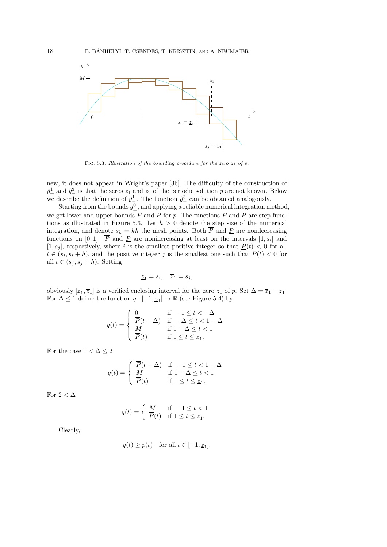

FIG. 5.3. Illustration of the bounding procedure for the zero  $z_1$  of p.

new, it does not appear in Wright's paper [36]. The difficulty of the construction of  $\hat{y}_+^1$  and  $\hat{y}_-^3$  is that the zeros  $z_1$  and  $z_2$  of the periodic solution p are not known. Below we describe the definition of  $\hat{y}^1_+$ . The function  $\hat{y}^3_-$  can be obtained analogously.

Starting from the bounds  $y_{\pm}^0$ , and applying a reliable numerical integration method, we get lower and upper bounds  $\underline{P}$  and  $P$  for  $p$ . The functions  $\underline{P}$  and  $P$  are step functions as illustrated in Figure 5.3. Let  $h > 0$  denote the step size of the numerical integration, and denote  $s_k = kh$  the mesh points. Both  $\overline{P}$  and  $\underline{P}$  are nondecreasing functions on [0,1]. P and <u>P</u> are nonincreasing at least on the intervals  $[1, s_i]$  and  $[1, s_j]$ , respectively, where i is the smallest positive integer so that  $P(t) < 0$  for all  $t \in (s_i, s_i + h)$ , and the positive integer j is the smallest one such that  $P(t) < 0$  for all  $t \in (s_j, s_j + h)$ . Setting

$$
\underline{z}_1 = s_i, \quad \overline{z}_1 = s_j,
$$

obviously  $[\underline{z}_1, \overline{z}_1]$  is a verified enclosing interval for the zero  $z_1$  of p. Set  $\Delta = \overline{z}_1 - \underline{z}_1$ . For  $\Delta \leq 1$  define the function  $q: [-1, \underline{z}_1] \to \mathbb{R}$  (see Figure 5.4) by

$$
q(t) = \begin{cases} 0 & \text{if } -1 \leq t < -\Delta \\ \overline{P}(t + \Delta) & \text{if } -\Delta \leq t < 1 - \Delta \\ M & \text{if } 1 - \Delta \leq t < 1 \\ \overline{P}(t) & \text{if } 1 \leq t \leq \underline{z}_1. \end{cases}
$$

For the case  $1<\Delta\leq 2$ 

$$
q(t) = \begin{cases} \overline{P}(t + \Delta) & \text{if } -1 \le t < 1 - \Delta \\ M & \text{if } 1 - \Delta \le t < 1 \\ \overline{P}(t) & \text{if } 1 \le t \le \underline{z}_1. \end{cases}
$$

For  $2 < \Delta$ 

$$
q(t) = \begin{cases} M & \text{if } -1 \le t < 1\\ \overline{P}(t) & \text{if } 1 \le t \le \underline{z}_1. \end{cases}
$$

Clearly,

$$
q(t) \ge p(t)
$$
 for all  $t \in [-1, \underline{z}_1]$ .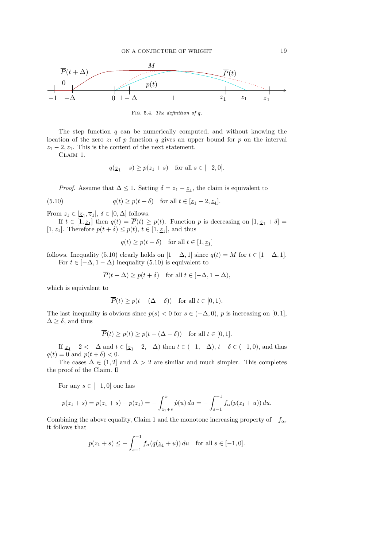

Fig. 5.4. The definition of q.

The step function  $q$  can be numerically computed, and without knowing the location of the zero  $z_1$  of p function q gives an upper bound for p on the interval  $z_1 - 2, z_1$ . This is the content of the next statement.

Claim 1.

$$
q(\underline{z}_1 + s) \ge p(z_1 + s) \quad \text{for all } s \in [-2, 0].
$$

*Proof.* Assume that  $\Delta \leq 1$ . Setting  $\delta = z_1 - \underline{z}_1$ , the claim is equivalent to

(5.10) 
$$
q(t) \ge p(t+\delta) \quad \text{for all } t \in [\underline{z}_1 - 2, \underline{z}_1].
$$

From  $z_1 \in [\underline{z}_1, \overline{z}_1], \delta \in [0, \Delta]$  follows.

If  $t \in [1, \underline{z_1}]$  then  $q(t) = P(t) \geq p(t)$ . Function p is decreasing on  $[1, \underline{z_1} + \delta] =$ [1,  $z_1$ ]. Therefore  $p(t + \delta) \leq p(t)$ ,  $t \in [1, \underline{z_1}]$ , and thus

$$
q(t) \ge p(t+\delta)
$$
 for all  $t \in [1, \underline{z}_1]$ 

follows. Inequality (5.10) clearly holds on  $[1 - \Delta, 1]$  since  $q(t) = M$  for  $t \in [1 - \Delta, 1]$ . For  $t \in [-\Delta, 1-\Delta)$  inequality (5.10) is equivalent to

$$
\overline{P}(t + \Delta) \ge p(t + \delta) \quad \text{for all } t \in [-\Delta, 1 - \Delta),
$$

which is equivalent to

$$
\overline{P}(t) \ge p(t - (\Delta - \delta)) \quad \text{for all } t \in [0, 1).
$$

The last inequality is obvious since  $p(s) < 0$  for  $s \in (-\Delta, 0)$ , p is increasing on [0, 1],  $\Delta \geq \delta$ , and thus

$$
\overline{P}(t) \ge p(t) \ge p(t - (\Delta - \delta)) \quad \text{for all } t \in [0, 1].
$$

If  $\underline{z}_1 - 2 < -\Delta$  and  $t \in [\underline{z}_1 - 2, -\Delta)$  then  $t \in (-1, -\Delta)$ ,  $t + \delta \in (-1, 0)$ , and thus  $q(t) = 0$  and  $p(t + \delta) < 0$ .

The cases  $\Delta \in (1, 2]$  and  $\Delta > 2$  are similar and much simpler. This completes the proof of the Claim.  $\blacksquare$ 

For any  $s \in [-1,0]$  one has

$$
p(z_1 + s) = p(z_1 + s) - p(z_1) = -\int_{z_1 + s}^{z_1} \dot{p}(u) \, du = -\int_{s - 1}^{-1} f_\alpha(p(z_1 + u)) \, du.
$$

Combining the above equality, Claim 1 and the monotone increasing property of  $-f_\alpha$ , it follows that

$$
p(z_1 + s) \le -\int_{s-1}^{-1} f_{\alpha}(q(\underline{z}_1 + u)) du
$$
 for all  $s \in [-1, 0]$ .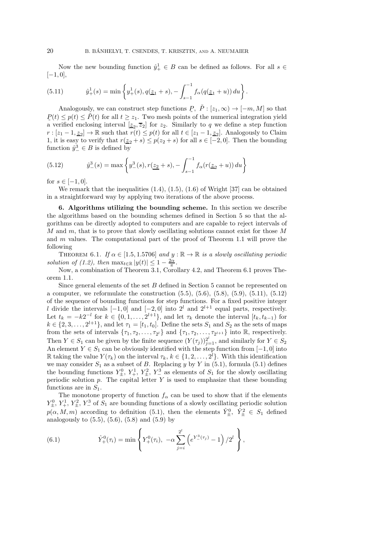Now the new bounding function  $\hat{y}^1_+ \in B$  can be defined as follows. For all  $s \in$  $[-1, 0],$ 

(5.11) 
$$
\hat{y}_+^1(s) = \min \left\{ y_+^1(s), q(\underline{z}_1 + s), -\int_{s-1}^{-1} f_\alpha(q(\underline{z}_1 + u)) du \right\}.
$$

Analogously, we can construct step functions  $P, \tilde{P}: [z_1, \infty) \to [-m, M]$  so that  $P(t) \leq p(t) \leq \tilde{P}(t)$  for all  $t \geq z_1$ . Two mesh points of the numerical integration yield a verified enclosing interval  $\boxed{z_2, \overline{z}_2}$  for  $z_2$ . Similarly to q we define a step function  $r: [z_1-1, \underline{z}_2] \to \mathbb{R}$  such that  $r(t) \leq p(t)$  for all  $t \in [z_1-1, \underline{z}_2]$ . Analogously to Claim 1, it is easy to verify that  $r(\underline{z}_2 + s) \leq p(z_2 + s)$  for all  $s \in [-2, 0]$ . Then the bounding function  $\hat{y}^3_{-} \in B$  is defined by

(5.12) 
$$
\hat{y}_{-}^{3}(s) = \max \left\{ y_{-}^{3}(s), r(\underline{z}_{2} + s), -\int_{s-1}^{-1} f_{\alpha}(r(\underline{z}_{2} + u)) du \right\}
$$

for  $s \in [-1, 0]$ .

We remark that the inequalities  $(1.4)$ ,  $(1.5)$ ,  $(1.6)$  of Wright [37] can be obtained in a straightforward way by applying two iterations of the above process.

6. Algorithms utilizing the bounding scheme. In this section we describe the algorithms based on the bounding schemes defined in Section 5 so that the algorithms can be directly adopted to computers and are capable to reject intervals of  $M$  and  $m$ , that is to prove that slowly oscillating solutions cannot exist for those  $M$ and m values. The computational part of the proof of Theorem 1.1 will prove the following

THEOREM 6.1. If  $\alpha \in [1.5, 1.5706]$  and  $y : \mathbb{R} \to \mathbb{R}$  is a slowly oscillating periodic solution of (1.2), then  $\max_{t \in \mathbb{R}} |y(t)| \leq 1 - \frac{2\alpha}{\pi}$ .

Now, a combination of Theorem 3.1, Corollary 4.2, and Theorem 6.1 proves Theorem 1.1.

Since general elements of the set B defined in Section 5 cannot be represented on a computer, we reformulate the construction (5.5), (5.6), (5.8), (5.9), (5.11), (5.12) of the sequence of bounding functions for step functions. For a fixed positive integer l divide the intervals  $[-1, 0]$  and  $[-2, 0]$  into  $2^l$  and  $2^{l+1}$  equal parts, respectively. Let  $t_k = -k2^{-l}$  for  $k \in \{0, 1, \ldots, 2^{l+1}\},$  and let  $\tau_k$  denote the interval  $[t_k, t_{k-1})$  for  $k \in \{2, 3, \ldots, 2^{l+1}\},$  and let  $\tau_1 = [t_1, t_0]$ . Define the sets  $S_1$  and  $S_2$  as the sets of maps from the sets of intervals  $\{\tau_1, \tau_2, \ldots, \tau_{2^l}\}\$  and  $\{\tau_1, \tau_2, \ldots, \tau_{2^{l+1}}\}\$  into R, respectively. Then  $Y \in S_1$  can be given by the finite sequence  $(Y(\tau_j))_{j=1}^{2^l}$ , and similarly for  $Y \in S_2$ An element  $Y \in S_1$  can be obviously identified with the step function from  $[-1,0]$  into R taking the value  $Y(\tau_k)$  on the interval  $\tau_k, k \in \{1, 2, ..., 2^l\}$ . With this identification we may consider  $S_1$  as a subset of B. Replacing y by Y in (5.1), formula (5.1) defines the bounding functions  $Y_{\pm}^0$ ,  $Y_{\pm}^1$ ,  $Y_{\pm}^2$ ,  $Y_{\pm}^3$  as elements of  $S_1$  for the slowly oscillating periodic solution  $p$ . The capital letter  $Y$  is used to emphasize that these bounding functions are in  $S_1$ .

The monotone property of function  $f_{\alpha}$  can be used to show that if the elements  $Y_{\pm}^0$ ,  $Y_{+}^1$ ,  $Y_{\pm}^2$ ,  $Y_{-}^3$  of  $S_1$  are bounding functions of a slowly oscillating periodic solution  $p(\alpha, M, m)$  according to definition (5.1), then the elements  $\hat{Y}_{\pm}^0$ ,  $\hat{Y}_{\pm}^2 \in S_1$  defined analogously to  $(5.5)$ ,  $(5.6)$ ,  $(5.8)$  and  $(5.9)$  by

(6.1) 
$$
\hat{Y}_+^0(\tau_i) = \min \left\{ Y_+^0(\tau_i), -\alpha \sum_{j=i}^{2^l} \left( e^{Y_-^3(\tau_j)} - 1 \right) / 2^l \right\},
$$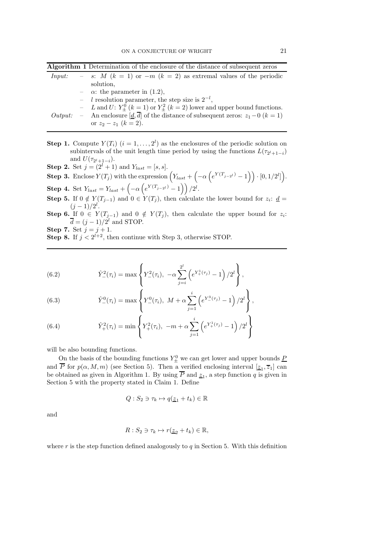Algorithm 1 Determination of the enclosure of the distance of subsequent zeros

| Input:  | - s: M $(k = 1)$ or $-m (k = 2)$ as extremal values of the periodic                         |
|---------|---------------------------------------------------------------------------------------------|
|         | solution,                                                                                   |
|         | $-\alpha$ : the parameter in (1.2),                                                         |
|         | - <i>l</i> resolution parameter, the step size is $2^{-l}$ ,                                |
|         | - L and U: $Y^0_+(k=1)$ or $Y^2_+(k=2)$ lower and upper bound functions.                    |
| Output: | - An enclosure $[d, \overline{d}]$ of the distance of subsequent zeros: $z_1 - 0$ $(k = 1)$ |
|         | or $z_2 - z_1$ $(k = 2)$ .                                                                  |

- **Step 1.** Compute  $Y(T_i)$   $(i = 1, ..., 2^l)$  as the enclosures of the periodic solution on subintervals of the unit length time period by using the functions  $L(\tau_{2^l+1-i})$ and  $U(\tau_{2^l+1-i})$ .
- **Step 2.** Set  $j = (2^{l} + 1)$  and  $Y_{last} = [s, s]$ .
- **Step 3.** Enclose  $Y(T_j)$  with the expression  $(Y_{last} + (-\alpha \left(e^{Y(T_{j-2}t)} 1\right)) \cdot [0, 1/2^l])$ .
- **Step 4.** Set  $Y_{last} = Y_{last} + \left(-\alpha \left(e^{Y(T_{j-2}l)} 1\right)\right)/2^l$ .
- **Step 5.** If  $0 \notin Y(T_{j-1})$  and  $0 \in Y(T_j)$ , then calculate the lower bound for  $z_i: d =$  $(j-1)/2^l$ .
- **Step 6.** If  $0 \in Y(T_{j-1})$  and  $0 \notin Y(T_j)$ , then calculate the upper bound for  $z_i$ :  $\overline{d} = (j-1)/2^l$  and STOP.
- **Step 7.** Set  $j = j + 1$ .
- **Step 8.** If  $j < 2^{l+2}$ , then continue with Step 3, otherwise STOP.

(6.2) 
$$
\hat{Y}_-^2(\tau_i) = \max \left\{ Y_-^2(\tau_i), -\alpha \sum_{j=i}^{2^l} \left( e^{Y_+^1(\tau_j)} - 1 \right) / 2^l \right\},
$$

(6.3) 
$$
\hat{Y}_-^0(\tau_i) = \max \left\{ Y_-^0(\tau_i), \ M + \alpha \sum_{j=1}^i \left( e^{Y_-^3(\tau_j)} - 1 \right) / 2^l \right\},
$$

(6.4) 
$$
\hat{Y}_{+}^{2}(\tau_{i}) = \min \left\{ Y_{+}^{2}(\tau_{i}), -m+\alpha \sum_{j=1}^{i} \left( e^{Y_{+}^{1}(\tau_{j})} - 1 \right) / 2^{l} \right\}
$$

will be also bounding functions.

On the basis of the bounding functions  $Y_{\pm}^0$  we can get lower and upper bounds  $\underline{P}$ and P for  $p(\alpha, M, m)$  (see Section 5). Then a verified enclosing interval  $[\underline{z}_1, \overline{z}_1]$  can be obtained as given in Algorithm 1. By using  $P$  and  $\underline{z}_1$ , a step function  $q$  is given in Section 5 with the property stated in Claim 1. Define

$$
Q: S_2 \ni \tau_k \mapsto q(\underline{z}_1 + t_k) \in \mathbb{R}
$$

and

$$
R: S_2 \ni \tau_k \mapsto r(\underline{z}_2 + t_k) \in \mathbb{R},
$$

where r is the step function defined analogously to  $q$  in Section 5. With this definition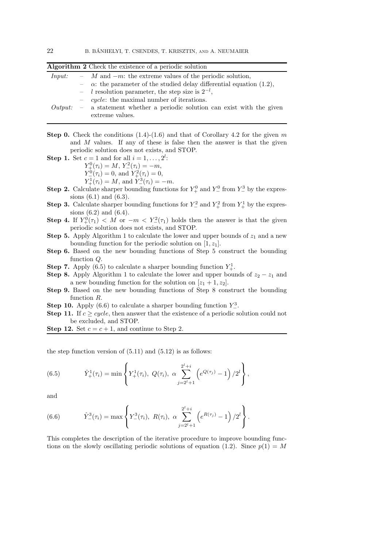| Algorithm 2 Check the existence of a periodic solution |  |                                                                                                 |  |  |  |  |  |
|--------------------------------------------------------|--|-------------------------------------------------------------------------------------------------|--|--|--|--|--|
|                                                        |  | <i>Input:</i> $-M$ and $-m$ : the extreme values of the periodic solution,                      |  |  |  |  |  |
|                                                        |  | $-\alpha$ : the parameter of the studied delay differential equation (1.2),                     |  |  |  |  |  |
|                                                        |  | - l resolution parameter, the step size is $2^{-l}$ ,                                           |  |  |  |  |  |
|                                                        |  | $\,-\,$ <i>cycle</i> : the maximal number of iterations.                                        |  |  |  |  |  |
|                                                        |  | $Output: -$ a statement whether a periodic solution can exist with the given<br>extreme values. |  |  |  |  |  |

**Step 0.** Check the conditions  $(1.4)-(1.6)$  and that of Corollary 4.2 for the given m and  $M$  values. If any of these is false then the answer is that the given

periodic solution does not exists, and STOP. **Step 1.** Set  $c = 1$  and for all  $i = 1$ . l :

$$
c = 1
$$
 and for all  $t = 1, \ldots$ 

 $Y_{+}^{0}(\tau_i) = M, Y_{-}^{2}(\tau_i) = -m,$ 

$$
Y^0_{-}(\tau_i) = 0, \text{ and } Y^2_{+}(\tau_i) = 0,
$$

$$
Y_{+}^{1}(\tau_{i}) = M
$$
, and  $Y_{-}^{3}(\tau_{i}) = -m$ .

**Step 2.** Calculate sharper bounding functions for  $Y_+^0$  and  $Y_-^0$  from  $Y_-^3$  by the expressions (6.1) and (6.3).

- **Step 3.** Calculate sharper bounding functions for  $Y_{-}^2$  and  $Y_{+}^2$  from  $Y_{+}^1$  by the expressions (6.2) and (6.4).
- **Step 4.** If  $Y_{+}^{0}(\tau_1) < M$  or  $-m < Y_{-}^{2}(\tau_1)$  holds then the answer is that the given periodic solution does not exists, and STOP.
- **Step 5.** Apply Algorithm 1 to calculate the lower and upper bounds of  $z_1$  and a new bounding function for the periodic solution on  $[1, z_1]$ .
- Step 6. Based on the new bounding functions of Step 5 construct the bounding function Q.
- **Step 7.** Apply (6.5) to calculate a sharper bounding function  $Y^1_+$ .
- **Step 8.** Apply Algorithm 1 to calculate the lower and upper bounds of  $z_2 z_1$  and a new bounding function for the solution on  $[z_1 + 1, z_2]$ .
- Step 9. Based on the new bounding functions of Step 8 construct the bounding function R.
- **Step 10.** Apply (6.6) to calculate a sharper bounding function  $Y^3$ .
- **Step 11.** If  $c \geq cycle$ , then answer that the existence of a periodic solution could not be excluded, and STOP.

**Step 12.** Set  $c = c + 1$ , and continue to Step 2.

the step function version of  $(5.11)$  and  $(5.12)$  is as follows:

(6.5) 
$$
\hat{Y}_{+}^{1}(\tau_{i}) = \min \left\{ Y_{+}^{1}(\tau_{i}), Q(\tau_{i}), \alpha \sum_{j=2^{l}+1}^{2^{l}+i} \left( e^{Q(\tau_{j})} - 1 \right) / 2^{l} \right\},
$$

and

(6.6) 
$$
\hat{Y}_-^3(\tau_i) = \max \left\{ Y_-^3(\tau_i), \ R(\tau_i), \ \alpha \sum_{j=2^l+1}^{2^l+i} \left( e^{R(\tau_j)} - 1 \right) / 2^l \right\}.
$$

This completes the description of the iterative procedure to improve bounding functions on the slowly oscillating periodic solutions of equation (1.2). Since  $p(1) = M$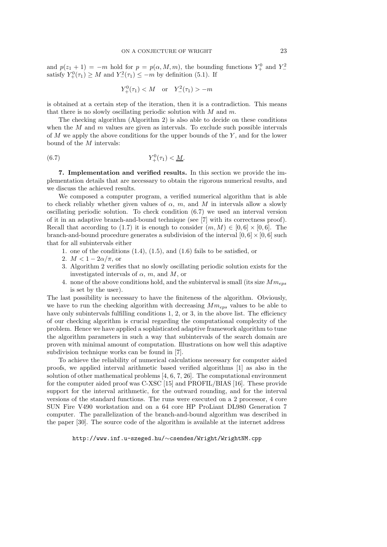and  $p(z_1 + 1) = -m$  hold for  $p = p(\alpha, M, m)$ , the bounding functions  $Y_+^0$  and  $Y_-^2$ satisfy  $Y^0_+(\tau_1) \geq M$  and  $Y^2_-(\tau_1) \leq -m$  by definition (5.1). If

$$
Y_+^0(\tau_1) < M \quad \text{or} \quad Y_-^2(\tau_1) > -m
$$

is obtained at a certain step of the iteration, then it is a contradiction. This means that there is no slowly oscillating periodic solution with  $M$  and  $m$ .

The checking algorithm (Algorithm 2) is also able to decide on these conditions when the  $M$  and  $m$  values are given as intervals. To exclude such possible intervals of  $M$  we apply the above conditions for the upper bounds of the  $Y$ , and for the lower bound of the M intervals:

(6.7) 
$$
Y_{+}^{0}(\tau_{1}) < \underline{M}.
$$

7. Implementation and verified results. In this section we provide the implementation details that are necessary to obtain the rigorous numerical results, and we discuss the achieved results.

We composed a computer program, a verified numerical algorithm that is able to check reliably whether given values of  $\alpha$ , m, and M in intervals allow a slowly oscillating periodic solution. To check condition (6.7) we used an interval version of it in an adaptive branch-and-bound technique (see [7] with its correctness proof). Recall that according to (1.7) it is enough to consider  $(m, M) \in [0, 6] \times [0, 6]$ . The branch-and-bound procedure generates a subdivision of the interval  $[0, 6] \times [0, 6]$  such that for all subintervals either

- 1. one of the conditions  $(1.4)$ ,  $(1.5)$ , and  $(1.6)$  fails to be satisfied, or
- 2.  $M < 1 2\alpha/\pi$ , or
- 3. Algorithm 2 verifies that no slowly oscillating periodic solution exists for the investigated intervals of  $\alpha$ , m, and M, or
- 4. none of the above conditions hold, and the subinterval is small (its size  $Mm_{ens}$ ) is set by the user).

The last possibility is necessary to have the finiteness of the algorithm. Obviously, we have to run the checking algorithm with decreasing  $Mm_{eps}$  values to be able to have only subintervals fulfilling conditions 1, 2, or 3, in the above list. The efficiency of our checking algorithm is crucial regarding the computational complexity of the problem. Hence we have applied a sophisticated adaptive framework algorithm to tune the algorithm parameters in such a way that subintervals of the search domain are proven with minimal amount of computation. Illustrations on how well this adaptive subdivision technique works can be found in [7].

To achieve the reliability of numerical calculations necessary for computer aided proofs, we applied interval arithmetic based verified algorithms [1] as also in the solution of other mathematical problems [4, 6, 7, 26]. The computational environment for the computer aided proof was C-XSC [15] and PROFIL/BIAS [16]. These provide support for the interval arithmetic, for the outward rounding, and for the interval versions of the standard functions. The runs were executed on a 2 processor, 4 core SUN Fire V490 workstation and on a 64 core HP ProLiant DL980 Generation 7 computer. The parallelization of the branch-and-bound algorithm was described in the paper [30]. The source code of the algorithm is available at the internet address

## http://www.inf.u-szeged.hu/∼csendes/Wright/WrightNM.cpp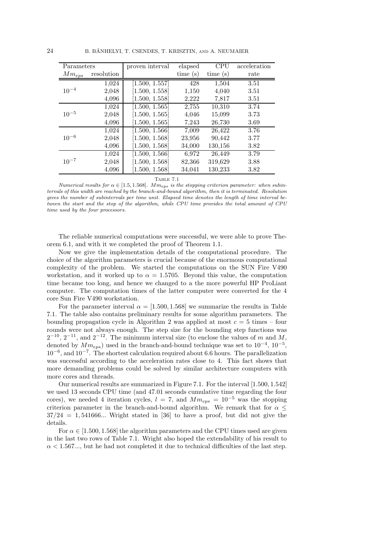24 B. BÁNHELYI, T. CSENDES, T. KRISZTIN, AND A. NEUMAIER

| Parameters |            | proven interval     | elapsed | CPU     | acceleration      |
|------------|------------|---------------------|---------|---------|-------------------|
| $Mm_{eps}$ | resolution |                     | time(s) | time(s) | rate              |
|            | 1,024      | [1.500, 1.557]      | 428     | 1,504   | $\overline{3.51}$ |
| $10^{-4}$  | 2,048      | [1.500, 1.558]      | 1,150   | 4,040   | 3.51              |
|            | 4,096      | [1.500, 1.558]      | 2,222   | 7,817   | 3.51              |
|            | 1,024      | [1.500, 1.565]      | 2,755   | 10,310  | 3.74              |
| $10^{-5}$  | 2,048      | [1.500, 1.565]      | 4,046   | 15,099  | 3.73              |
|            | 4,096      | [1.500, 1.565]      | 7,243   | 26,730  | 3.69              |
|            | 1,024      | [1.500, 1.566]      | 7,009   | 26,422  | 3.76              |
| $10^{-6}$  | 2,048      | [1.500, 1.568]      | 23,956  | 90,442  | 3.77              |
|            | 4,096      | [1.500, 1.568]      | 34,000  | 130,156 | 3.82              |
|            | 1,024      | $[1.500, \, 1.566]$ | 6.972   | 26,449  | 3.79              |
| $10^{-7}$  | 2,048      | [1.500, 1.568]      | 82,366  | 319,629 | 3.88              |
|            | 4,096      | [1.500, 1.568]      | 34,041  | 130,233 | 3.82              |

Table 7.1

Numerical results for  $\alpha \in [1.5, 1.568]$ . M $m_{eps}$  is the stopping criterion parameter: when subintervals of this width are reached by the branch-and-bound algorithm, then it is terminated. Resolution gives the number of subintervals per time unit. Elapsed time denotes the length of time interval between the start and the stop of the algorithm, while CPU time provides the total amount of CPU time used by the four processors.

The reliable numerical computations were successful, we were able to prove Theorem 6.1, and with it we completed the proof of Theorem 1.1.

Now we give the implementation details of the computational procedure. The choice of the algorithm parameters is crucial because of the enormous computational complexity of the problem. We started the computations on the SUN Fire V490 workstation, and it worked up to  $\alpha = 1.5705$ . Beyond this value, the computation time became too long, and hence we changed to a the more powerful HP ProLiant computer. The computation times of the latter computer were converted for the 4 core Sun Fire V490 workstation.

For the parameter interval  $\alpha = [1.500, 1.568]$  we summarize the results in Table 7.1. The table also contains preliminary results for some algorithm parameters. The bounding propagation cycle in Algorithm 2 was applied at most  $c = 5$  times – four rounds were not always enough. The step size for the bounding step functions was  $2^{-10}$ ,  $2^{-11}$ , and  $2^{-12}$ . The minimum interval size (to enclose the values of m and M, denoted by  $Mm_{eps}$ ) used in the branch-and-bound technique was set to  $10^{-4}$ ,  $10^{-5}$ , 10<sup>−</sup><sup>6</sup> , and 10<sup>−</sup><sup>7</sup> . The shortest calculation required about 6.6 hours. The parallelization was successful according to the acceleration rates close to 4. This fact shows that more demanding problems could be solved by similar architecture computers with more cores and threads.

Our numerical results are summarized in Figure 7.1. For the interval [1.500, 1.542] we used 13 seconds CPU time (and 47.01 seconds cumulative time regarding the four cores), we needed 4 iteration cycles,  $l = 7$ , and  $Mm_{eps} = 10^{-5}$  was the stopping criterion parameter in the branch-and-bound algorithm. We remark that for  $\alpha \leq$  $37/24 = 1,541666...$  Wright stated in [36] to have a proof, but did not give the details.

For  $\alpha \in [1.500, 1.568]$  the algorithm parameters and the CPU times used are given in the last two rows of Table 7.1. Wright also hoped the extendability of his result to  $\alpha$  < 1.567..., but he had not completed it due to technical difficulties of the last step.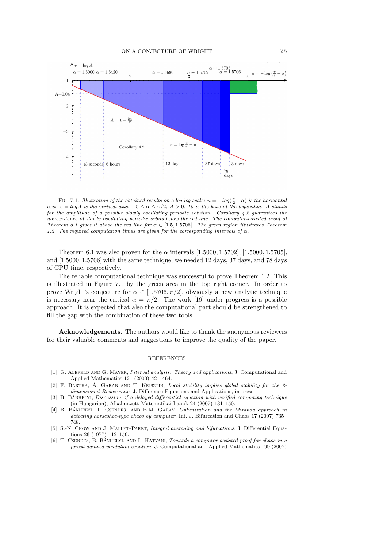

FIG. 7.1. Illustration of the obtained results on a log-log scale:  $u = -log(\frac{\pi}{2} - \alpha)$  is the horizontal axis,  $v = log A$  is the vertical axis,  $1.5 \le \alpha \le \pi/2$ ,  $A > 0$ , 10 is the base of the logarithm. A stands for the amplitude of a possible slowly oscillating periodic solution. Corollary  $4.2$  guarantees the nonexistence of slowly oscillating periodic orbits below the red line. The computer-assisted proof of Theorem 6.1 gives it above the red line for  $\alpha \in [1.5, 1.5706]$ . The green region illustrates Theorem 1.2. The required computation times are given for the corresponding intervals of  $\alpha$ .

Theorem 6.1 was also proven for the  $\alpha$  intervals [1.5000, 1.5702], [1.5000, 1.5705], and [1.5000, 1.5706] with the same technique, we needed 12 days, 37 days, and 78 days of CPU time, respectively.

The reliable computational technique was successful to prove Theorem 1.2. This is illustrated in Figure 7.1 by the green area in the top right corner. In order to prove Wright's conjecture for  $\alpha \in [1.5706, \pi/2]$ , obviously a new analytic technique is necessary near the critical  $\alpha = \pi/2$ . The work [19] under progress is a possible approach. It is expected that also the computational part should be strengthened to fill the gap with the combination of these two tools.

Acknowledgements. The authors would like to thank the anonymous reviewers for their valuable comments and suggestions to improve the quality of the paper.

## REFERENCES

- [1] G. ALEFELD AND G. MAYER, *Interval analysis: Theory and applications*, J. Computational and Applied Mathematics 121 (2000) 421–464.
- [2] F. BARTHA,  $\acute{A}$ , GARAB AND T. KRISZTIN, *Local stability implies global stability for the 2*dimensional Ricker map, J. Difference Equations and Applications, in press.
- $[3]$  B. BANHELYI, Discussion of a delayed differential equation with verified computing technique (in Hungarian), Alkalmazott Matematikai Lapok 24 (2007) 131–150.
- [4] B. BANHELYI, T. CSENDES, AND B.M. GARAY, Optimization and the Miranda approach in detecting horseshoe-type chaos by computer, Int. J. Bifurcation and Chaos 17 (2007) 735– 748.
- [5] S.-N. CHOW AND J. MALLET-PARET, Integral averaging and bifurcations. J. Differential Equations 26 (1977) 112–159.
- [6] T. CSENDES, B. BÁNHELYI, AND L. HATVANI, Towards a computer-assisted proof for chaos in a forced damped pendulum equation. J. Computational and Applied Mathematics 199 (2007)